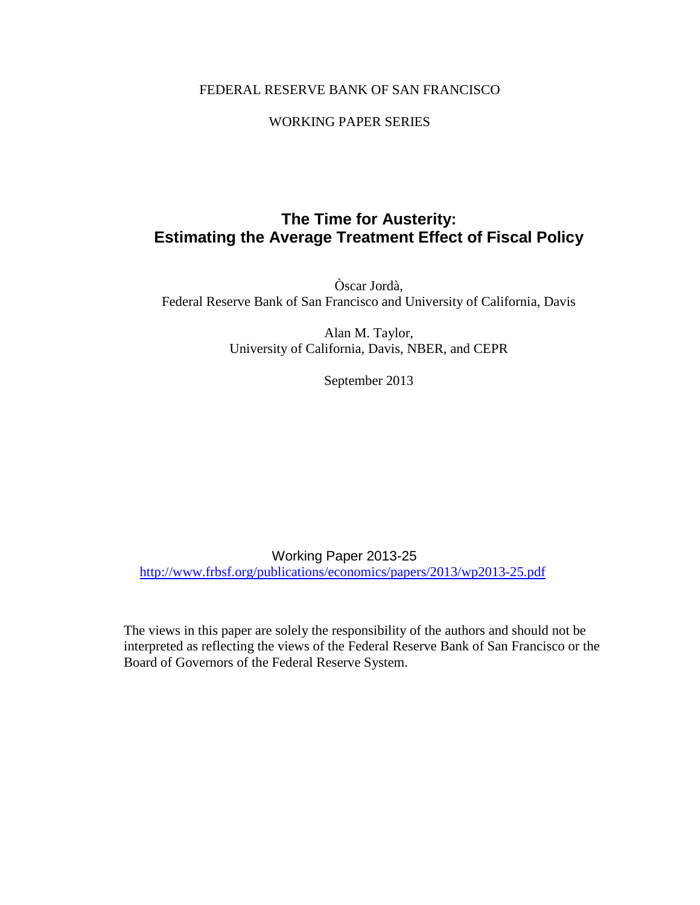#### FEDERAL RESERVE BANK OF SAN FRANCISCO

#### WORKING PAPER SERIES

## **The Time for Austerity: Estimating the Average Treatment Effect of Fiscal Policy**

Òscar Jordà, Federal Reserve Bank of San Francisco and University of California, Davis

> Alan M. Taylor, University of California, Davis, NBER, and CEPR

> > September 2013

Working Paper 2013-25 <http://www.frbsf.org/publications/economics/papers/2013/wp2013-25.pdf>

The views in this paper are solely the responsibility of the authors and should not be interpreted as reflecting the views of the Federal Reserve Bank of San Francisco or the Board of Governors of the Federal Reserve System.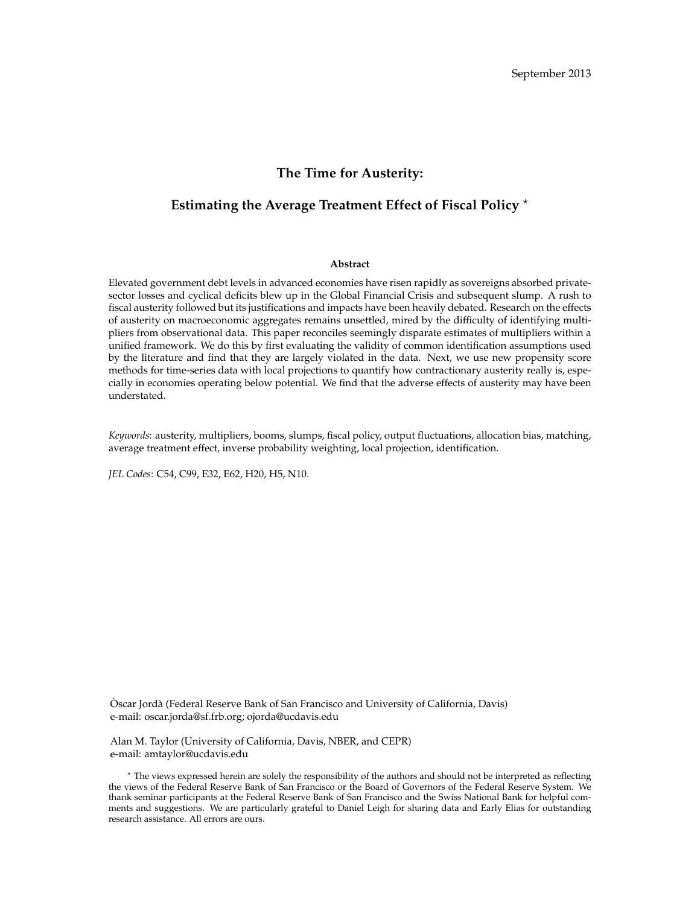#### **The Time for Austerity:**

#### **Estimating the Average Treatment Effect of Fiscal Policy** ?

#### **Abstract**

Elevated government debt levels in advanced economies have risen rapidly as sovereigns absorbed privatesector losses and cyclical deficits blew up in the Global Financial Crisis and subsequent slump. A rush to fiscal austerity followed but its justifications and impacts have been heavily debated. Research on the effects of austerity on macroeconomic aggregates remains unsettled, mired by the difficulty of identifying multipliers from observational data. This paper reconciles seemingly disparate estimates of multipliers within a unified framework. We do this by first evaluating the validity of common identification assumptions used by the literature and find that they are largely violated in the data. Next, we use new propensity score methods for time-series data with local projections to quantify how contractionary austerity really is, especially in economies operating below potential. We find that the adverse effects of austerity may have been understated.

*Keywords*: austerity, multipliers, booms, slumps, fiscal policy, output fluctuations, allocation bias, matching, average treatment effect, inverse probability weighting, local projection, identification.

*JEL Codes*: C54, C99, E32, E62, H20, H5, N10.

Òscar Jordà (Federal Reserve Bank of San Francisco and University of California, Davis) e-mail: oscar.jorda@sf.frb.org; ojorda@ucdavis.edu

Alan M. Taylor (University of California, Davis, NBER, and CEPR) e-mail: amtaylor@ucdavis.edu

? The views expressed herein are solely the responsibility of the authors and should not be interpreted as reflecting the views of the Federal Reserve Bank of San Francisco or the Board of Governors of the Federal Reserve System. We thank seminar participants at the Federal Reserve Bank of San Francisco and the Swiss National Bank for helpful comments and suggestions. We are particularly grateful to Daniel Leigh for sharing data and Early Elias for outstanding research assistance. All errors are ours.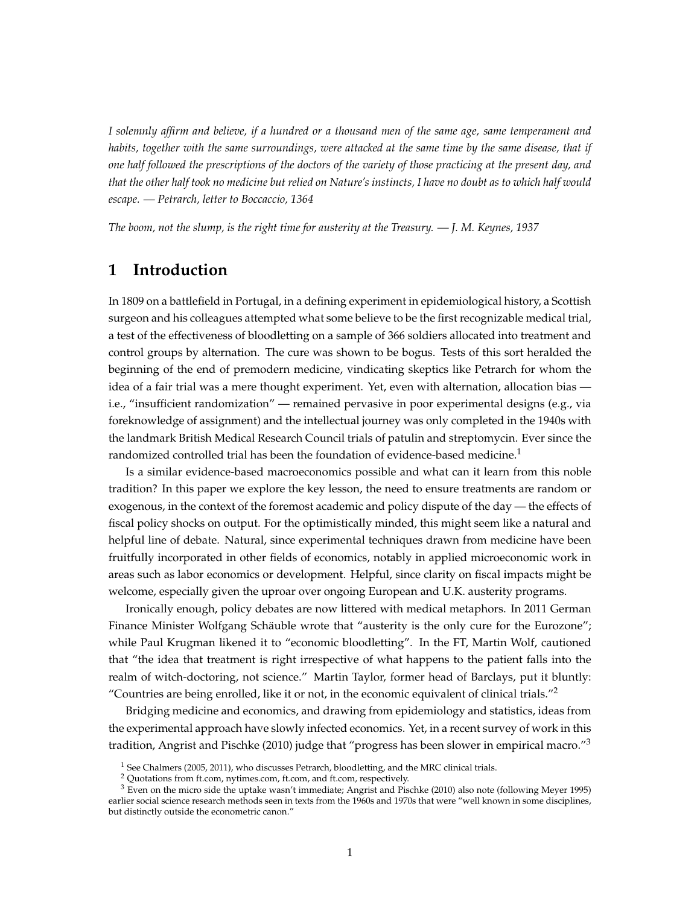*I solemnly affirm and believe, if a hundred or a thousand men of the same age, same temperament and habits, together with the same surroundings, were attacked at the same time by the same disease, that if one half followed the prescriptions of the doctors of the variety of those practicing at the present day, and that the other half took no medicine but relied on Nature's instincts, I have no doubt as to which half would escape. — Petrarch, letter to Boccaccio, 1364*

*The boom, not the slump, is the right time for austerity at the Treasury. — J. M. Keynes, 1937*

#### **1 Introduction**

In 1809 on a battlefield in Portugal, in a defining experiment in epidemiological history, a Scottish surgeon and his colleagues attempted what some believe to be the first recognizable medical trial, a test of the effectiveness of bloodletting on a sample of 366 soldiers allocated into treatment and control groups by alternation. The cure was shown to be bogus. Tests of this sort heralded the beginning of the end of premodern medicine, vindicating skeptics like Petrarch for whom the idea of a fair trial was a mere thought experiment. Yet, even with alternation, allocation bias i.e., "insufficient randomization" — remained pervasive in poor experimental designs (e.g., via foreknowledge of assignment) and the intellectual journey was only completed in the 1940s with the landmark British Medical Research Council trials of patulin and streptomycin. Ever since the randomized controlled trial has been the foundation of evidence-based medicine.<sup>[1](#page-2-0)</sup>

Is a similar evidence-based macroeconomics possible and what can it learn from this noble tradition? In this paper we explore the key lesson, the need to ensure treatments are random or exogenous, in the context of the foremost academic and policy dispute of the day — the effects of fiscal policy shocks on output. For the optimistically minded, this might seem like a natural and helpful line of debate. Natural, since experimental techniques drawn from medicine have been fruitfully incorporated in other fields of economics, notably in applied microeconomic work in areas such as labor economics or development. Helpful, since clarity on fiscal impacts might be welcome, especially given the uproar over ongoing European and U.K. austerity programs.

Ironically enough, policy debates are now littered with medical metaphors. In 2011 German Finance Minister Wolfgang Schäuble wrote that "austerity is the only cure for the Eurozone"; while Paul Krugman likened it to "economic bloodletting". In the FT, Martin Wolf, cautioned that "the idea that treatment is right irrespective of what happens to the patient falls into the realm of witch-doctoring, not science." Martin Taylor, former head of Barclays, put it bluntly: "Countries are being enrolled, like it or not, in the economic equivalent of clinical trials."<sup>[2](#page-2-1)</sup>

Bridging medicine and economics, and drawing from epidemiology and statistics, ideas from the experimental approach have slowly infected economics. Yet, in a recent survey of work in this tradition, Angrist and Pischke (2010) judge that "progress has been slower in empirical macro."[3](#page-2-2)

<span id="page-2-0"></span> $1$  See Chalmers (2005, 2011), who discusses Petrarch, bloodletting, and the MRC clinical trials.

<span id="page-2-2"></span><span id="page-2-1"></span><sup>2</sup> Quotations from ft.com, nytimes.com, ft.com, and ft.com, respectively.

 $3$  Even on the micro side the uptake wasn't immediate; Angrist and Pischke (2010) also note (following Meyer 1995) earlier social science research methods seen in texts from the 1960s and 1970s that were "well known in some disciplines, but distinctly outside the econometric canon."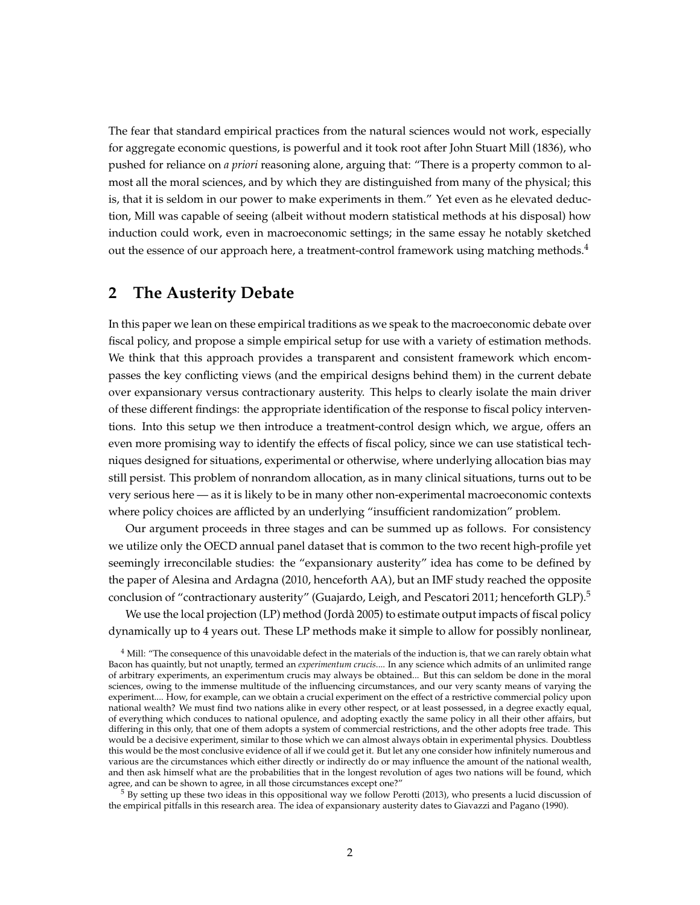The fear that standard empirical practices from the natural sciences would not work, especially for aggregate economic questions, is powerful and it took root after John Stuart Mill (1836), who pushed for reliance on *a priori* reasoning alone, arguing that: "There is a property common to almost all the moral sciences, and by which they are distinguished from many of the physical; this is, that it is seldom in our power to make experiments in them." Yet even as he elevated deduction, Mill was capable of seeing (albeit without modern statistical methods at his disposal) how induction could work, even in macroeconomic settings; in the same essay he notably sketched out the essence of our approach here, a treatment-control framework using matching methods.<sup>[4](#page-3-0)</sup>

#### **2 The Austerity Debate**

In this paper we lean on these empirical traditions as we speak to the macroeconomic debate over fiscal policy, and propose a simple empirical setup for use with a variety of estimation methods. We think that this approach provides a transparent and consistent framework which encompasses the key conflicting views (and the empirical designs behind them) in the current debate over expansionary versus contractionary austerity. This helps to clearly isolate the main driver of these different findings: the appropriate identification of the response to fiscal policy interventions. Into this setup we then introduce a treatment-control design which, we argue, offers an even more promising way to identify the effects of fiscal policy, since we can use statistical techniques designed for situations, experimental or otherwise, where underlying allocation bias may still persist. This problem of nonrandom allocation, as in many clinical situations, turns out to be very serious here — as it is likely to be in many other non-experimental macroeconomic contexts where policy choices are afflicted by an underlying "insufficient randomization" problem.

Our argument proceeds in three stages and can be summed up as follows. For consistency we utilize only the OECD annual panel dataset that is common to the two recent high-profile yet seemingly irreconcilable studies: the "expansionary austerity" idea has come to be defined by the paper of Alesina and Ardagna (2010, henceforth AA), but an IMF study reached the opposite conclusion of "contractionary austerity" (Guajardo, Leigh, and Pescatori 2011; henceforth GLP).<sup>[5](#page-3-1)</sup>

We use the local projection (LP) method (Jorda 2005) to estimate output impacts of fiscal policy ` dynamically up to 4 years out. These LP methods make it simple to allow for possibly nonlinear,

<span id="page-3-1"></span><sup>5</sup> By setting up these two ideas in this oppositional way we follow Perotti (2013), who presents a lucid discussion of the empirical pitfalls in this research area. The idea of expansionary austerity dates to Giavazzi and Pagano (1990).

<span id="page-3-0"></span><sup>&</sup>lt;sup>4</sup> Mill: "The consequence of this unavoidable defect in the materials of the induction is, that we can rarely obtain what Bacon has quaintly, but not unaptly, termed an *experimentum crucis*.... In any science which admits of an unlimited range of arbitrary experiments, an experimentum crucis may always be obtained... But this can seldom be done in the moral sciences, owing to the immense multitude of the influencing circumstances, and our very scanty means of varying the experiment.... How, for example, can we obtain a crucial experiment on the effect of a restrictive commercial policy upon national wealth? We must find two nations alike in every other respect, or at least possessed, in a degree exactly equal, of everything which conduces to national opulence, and adopting exactly the same policy in all their other affairs, but differing in this only, that one of them adopts a system of commercial restrictions, and the other adopts free trade. This would be a decisive experiment, similar to those which we can almost always obtain in experimental physics. Doubtless this would be the most conclusive evidence of all if we could get it. But let any one consider how infinitely numerous and various are the circumstances which either directly or indirectly do or may influence the amount of the national wealth, and then ask himself what are the probabilities that in the longest revolution of ages two nations will be found, which agree, and can be shown to agree, in all those circumstances except one?"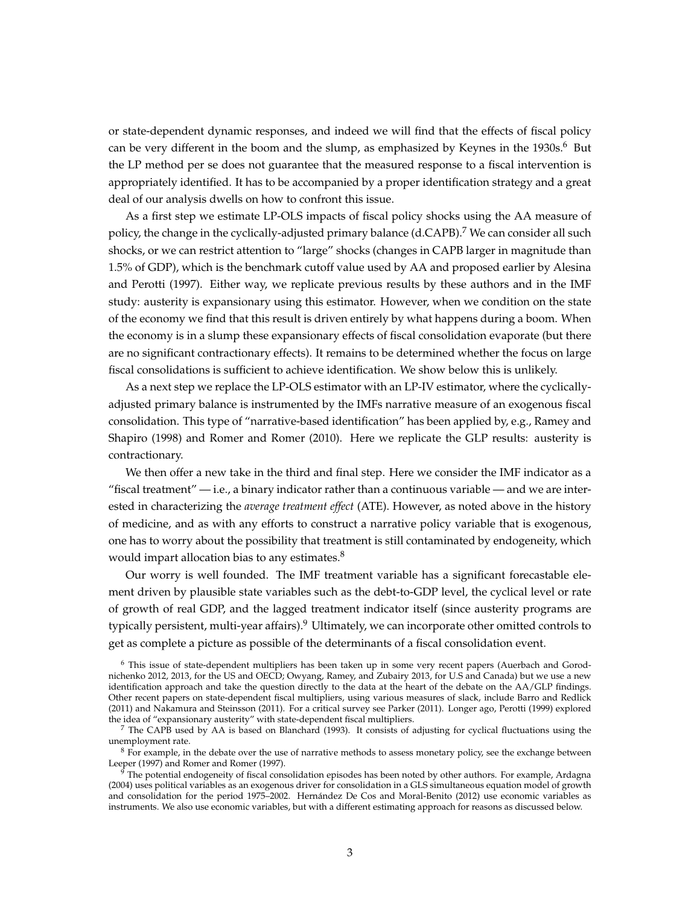or state-dependent dynamic responses, and indeed we will find that the effects of fiscal policy can be very different in the boom and the slump, as emphasized by Keynes in the  $1930s$ <sup>[6](#page-4-0)</sup> But the LP method per se does not guarantee that the measured response to a fiscal intervention is appropriately identified. It has to be accompanied by a proper identification strategy and a great deal of our analysis dwells on how to confront this issue.

As a first step we estimate LP-OLS impacts of fiscal policy shocks using the AA measure of policy, the change in the cyclically-adjusted primary balance (d.CAPB).<sup>[7](#page-4-1)</sup> We can consider all such shocks, or we can restrict attention to "large" shocks (changes in CAPB larger in magnitude than 1.5% of GDP), which is the benchmark cutoff value used by AA and proposed earlier by Alesina and Perotti (1997). Either way, we replicate previous results by these authors and in the IMF study: austerity is expansionary using this estimator. However, when we condition on the state of the economy we find that this result is driven entirely by what happens during a boom. When the economy is in a slump these expansionary effects of fiscal consolidation evaporate (but there are no significant contractionary effects). It remains to be determined whether the focus on large fiscal consolidations is sufficient to achieve identification. We show below this is unlikely.

As a next step we replace the LP-OLS estimator with an LP-IV estimator, where the cyclicallyadjusted primary balance is instrumented by the IMFs narrative measure of an exogenous fiscal consolidation. This type of "narrative-based identification" has been applied by, e.g., Ramey and Shapiro (1998) and Romer and Romer (2010). Here we replicate the GLP results: austerity is contractionary.

We then offer a new take in the third and final step. Here we consider the IMF indicator as a "fiscal treatment"  $-$  i.e., a binary indicator rather than a continuous variable  $-$  and we are interested in characterizing the *average treatment effect* (ATE). However, as noted above in the history of medicine, and as with any efforts to construct a narrative policy variable that is exogenous, one has to worry about the possibility that treatment is still contaminated by endogeneity, which would impart allocation bias to any estimates.<sup>[8](#page-4-2)</sup>

Our worry is well founded. The IMF treatment variable has a significant forecastable element driven by plausible state variables such as the debt-to-GDP level, the cyclical level or rate of growth of real GDP, and the lagged treatment indicator itself (since austerity programs are typically persistent, multi-year affairs).[9](#page-4-3) Ultimately, we can incorporate other omitted controls to get as complete a picture as possible of the determinants of a fiscal consolidation event.

<span id="page-4-0"></span><sup>6</sup> This issue of state-dependent multipliers has been taken up in some very recent papers (Auerbach and Gorodnichenko 2012, 2013, for the US and OECD; Owyang, Ramey, and Zubairy 2013, for U.S and Canada) but we use a new identification approach and take the question directly to the data at the heart of the debate on the AA/GLP findings. Other recent papers on state-dependent fiscal multipliers, using various measures of slack, include Barro and Redlick (2011) and Nakamura and Steinsson (2011). For a critical survey see Parker (2011). Longer ago, Perotti (1999) explored the idea of "expansionary austerity" with state-dependent fiscal multipliers.

<span id="page-4-1"></span> $^7$  The CAPB used by AA is based on Blanchard (1993). It consists of adjusting for cyclical fluctuations using the unemployment rate.

<span id="page-4-2"></span> $8$  For example, in the debate over the use of narrative methods to assess monetary policy, see the exchange between Leeper (1997) and Romer and Romer (1997).

<span id="page-4-3"></span> $\frac{9}{9}$  The potential endogeneity of fiscal consolidation episodes has been noted by other authors. For example, Ardagna (2004) uses political variables as an exogenous driver for consolidation in a GLS simultaneous equation model of growth and consolidation for the period 1975–2002. Hernández De Cos and Moral-Benito (2012) use economic variables as instruments. We also use economic variables, but with a different estimating approach for reasons as discussed below.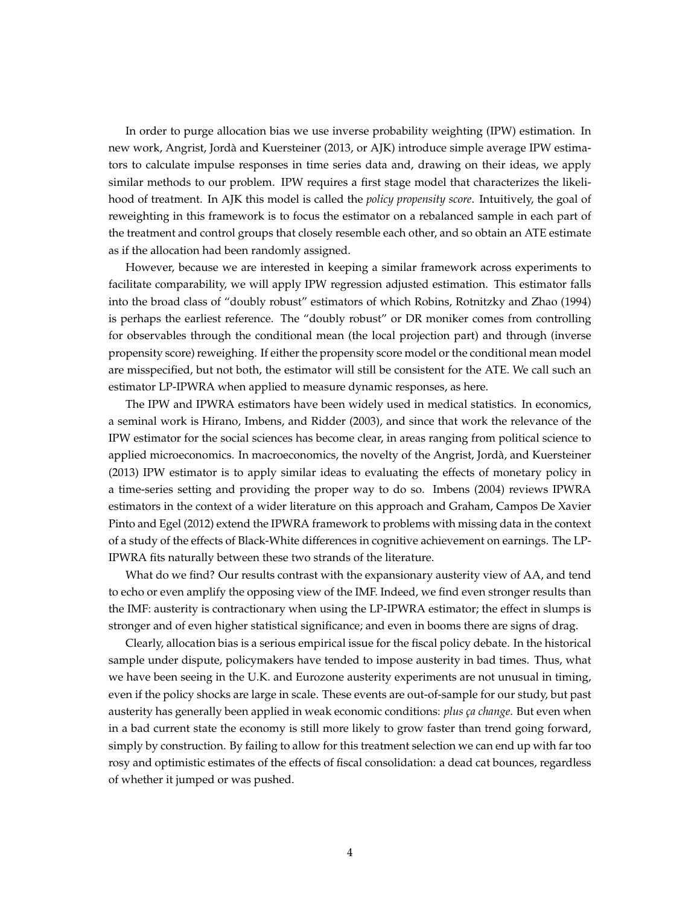In order to purge allocation bias we use inverse probability weighting (IPW) estimation. In new work, Angrist, Jorda and Kuersteiner (2013, or AJK) introduce simple average IPW estima- ` tors to calculate impulse responses in time series data and, drawing on their ideas, we apply similar methods to our problem. IPW requires a first stage model that characterizes the likelihood of treatment. In AJK this model is called the *policy propensity score*. Intuitively, the goal of reweighting in this framework is to focus the estimator on a rebalanced sample in each part of the treatment and control groups that closely resemble each other, and so obtain an ATE estimate as if the allocation had been randomly assigned.

However, because we are interested in keeping a similar framework across experiments to facilitate comparability, we will apply IPW regression adjusted estimation. This estimator falls into the broad class of "doubly robust" estimators of which Robins, Rotnitzky and Zhao (1994) is perhaps the earliest reference. The "doubly robust" or DR moniker comes from controlling for observables through the conditional mean (the local projection part) and through (inverse propensity score) reweighing. If either the propensity score model or the conditional mean model are misspecified, but not both, the estimator will still be consistent for the ATE. We call such an estimator LP-IPWRA when applied to measure dynamic responses, as here.

The IPW and IPWRA estimators have been widely used in medical statistics. In economics, a seminal work is Hirano, Imbens, and Ridder (2003), and since that work the relevance of the IPW estimator for the social sciences has become clear, in areas ranging from political science to applied microeconomics. In macroeconomics, the novelty of the Angrist, Jorda, and Kuersteiner ` (2013) IPW estimator is to apply similar ideas to evaluating the effects of monetary policy in a time-series setting and providing the proper way to do so. Imbens (2004) reviews IPWRA estimators in the context of a wider literature on this approach and Graham, Campos De Xavier Pinto and Egel (2012) extend the IPWRA framework to problems with missing data in the context of a study of the effects of Black-White differences in cognitive achievement on earnings. The LP-IPWRA fits naturally between these two strands of the literature.

What do we find? Our results contrast with the expansionary austerity view of AA, and tend to echo or even amplify the opposing view of the IMF. Indeed, we find even stronger results than the IMF: austerity is contractionary when using the LP-IPWRA estimator; the effect in slumps is stronger and of even higher statistical significance; and even in booms there are signs of drag.

Clearly, allocation bias is a serious empirical issue for the fiscal policy debate. In the historical sample under dispute, policymakers have tended to impose austerity in bad times. Thus, what we have been seeing in the U.K. and Eurozone austerity experiments are not unusual in timing, even if the policy shocks are large in scale. These events are out-of-sample for our study, but past austerity has generally been applied in weak economic conditions: *plus ça change*. But even when in a bad current state the economy is still more likely to grow faster than trend going forward, simply by construction. By failing to allow for this treatment selection we can end up with far too rosy and optimistic estimates of the effects of fiscal consolidation: a dead cat bounces, regardless of whether it jumped or was pushed.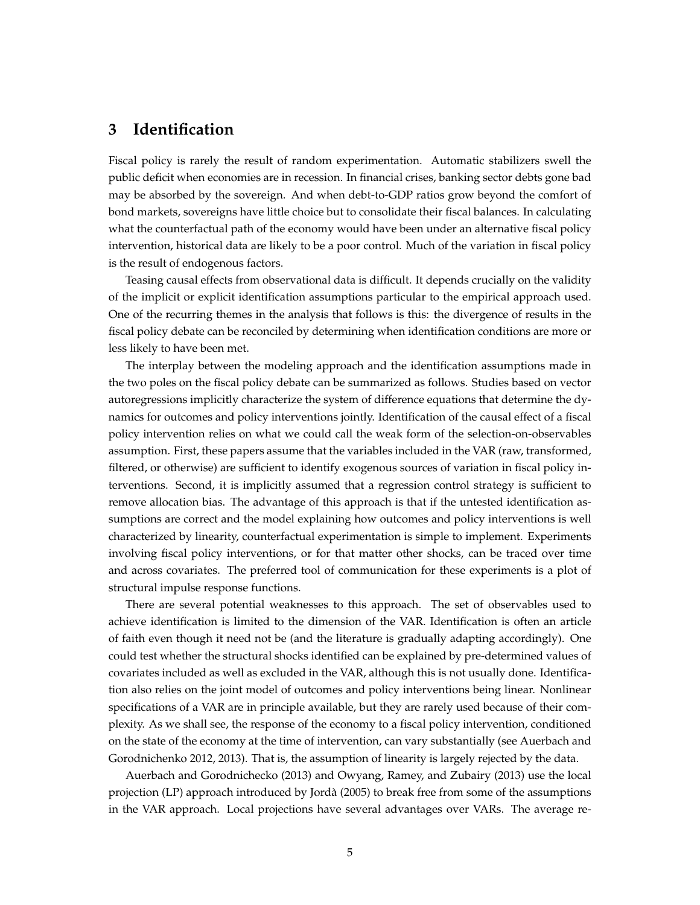#### **3 Identification**

Fiscal policy is rarely the result of random experimentation. Automatic stabilizers swell the public deficit when economies are in recession. In financial crises, banking sector debts gone bad may be absorbed by the sovereign. And when debt-to-GDP ratios grow beyond the comfort of bond markets, sovereigns have little choice but to consolidate their fiscal balances. In calculating what the counterfactual path of the economy would have been under an alternative fiscal policy intervention, historical data are likely to be a poor control. Much of the variation in fiscal policy is the result of endogenous factors.

Teasing causal effects from observational data is difficult. It depends crucially on the validity of the implicit or explicit identification assumptions particular to the empirical approach used. One of the recurring themes in the analysis that follows is this: the divergence of results in the fiscal policy debate can be reconciled by determining when identification conditions are more or less likely to have been met.

The interplay between the modeling approach and the identification assumptions made in the two poles on the fiscal policy debate can be summarized as follows. Studies based on vector autoregressions implicitly characterize the system of difference equations that determine the dynamics for outcomes and policy interventions jointly. Identification of the causal effect of a fiscal policy intervention relies on what we could call the weak form of the selection-on-observables assumption. First, these papers assume that the variables included in the VAR (raw, transformed, filtered, or otherwise) are sufficient to identify exogenous sources of variation in fiscal policy interventions. Second, it is implicitly assumed that a regression control strategy is sufficient to remove allocation bias. The advantage of this approach is that if the untested identification assumptions are correct and the model explaining how outcomes and policy interventions is well characterized by linearity, counterfactual experimentation is simple to implement. Experiments involving fiscal policy interventions, or for that matter other shocks, can be traced over time and across covariates. The preferred tool of communication for these experiments is a plot of structural impulse response functions.

There are several potential weaknesses to this approach. The set of observables used to achieve identification is limited to the dimension of the VAR. Identification is often an article of faith even though it need not be (and the literature is gradually adapting accordingly). One could test whether the structural shocks identified can be explained by pre-determined values of covariates included as well as excluded in the VAR, although this is not usually done. Identification also relies on the joint model of outcomes and policy interventions being linear. Nonlinear specifications of a VAR are in principle available, but they are rarely used because of their complexity. As we shall see, the response of the economy to a fiscal policy intervention, conditioned on the state of the economy at the time of intervention, can vary substantially (see Auerbach and Gorodnichenko 2012, 2013). That is, the assumption of linearity is largely rejected by the data.

Auerbach and Gorodnichecko (2013) and Owyang, Ramey, and Zubairy (2013) use the local projection (LP) approach introduced by Jorda (2005) to break free from some of the assumptions ` in the VAR approach. Local projections have several advantages over VARs. The average re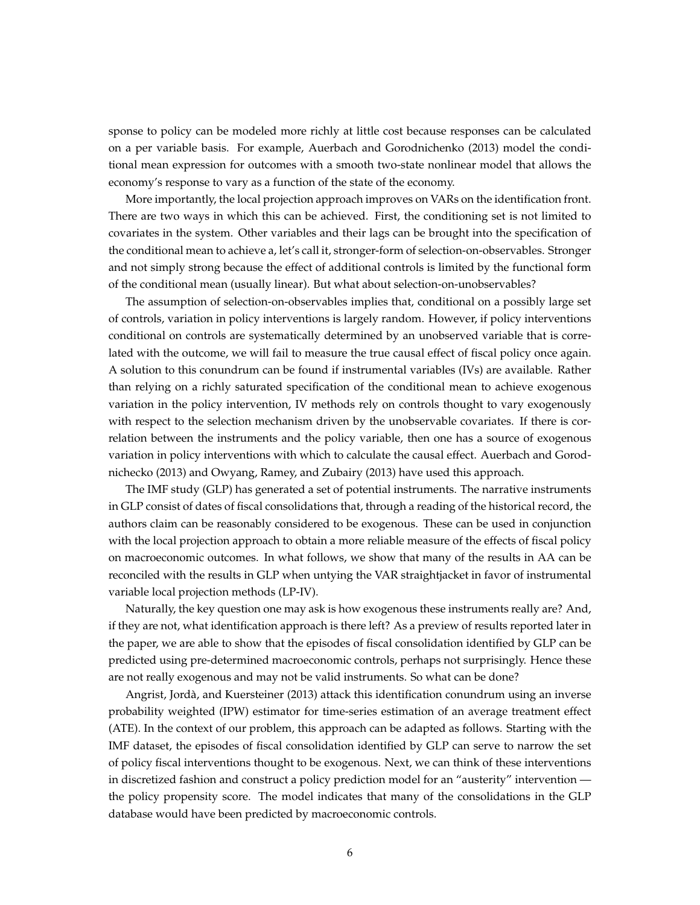sponse to policy can be modeled more richly at little cost because responses can be calculated on a per variable basis. For example, Auerbach and Gorodnichenko (2013) model the conditional mean expression for outcomes with a smooth two-state nonlinear model that allows the economy's response to vary as a function of the state of the economy.

More importantly, the local projection approach improves on VARs on the identification front. There are two ways in which this can be achieved. First, the conditioning set is not limited to covariates in the system. Other variables and their lags can be brought into the specification of the conditional mean to achieve a, let's call it, stronger-form of selection-on-observables. Stronger and not simply strong because the effect of additional controls is limited by the functional form of the conditional mean (usually linear). But what about selection-on-unobservables?

The assumption of selection-on-observables implies that, conditional on a possibly large set of controls, variation in policy interventions is largely random. However, if policy interventions conditional on controls are systematically determined by an unobserved variable that is correlated with the outcome, we will fail to measure the true causal effect of fiscal policy once again. A solution to this conundrum can be found if instrumental variables (IVs) are available. Rather than relying on a richly saturated specification of the conditional mean to achieve exogenous variation in the policy intervention, IV methods rely on controls thought to vary exogenously with respect to the selection mechanism driven by the unobservable covariates. If there is correlation between the instruments and the policy variable, then one has a source of exogenous variation in policy interventions with which to calculate the causal effect. Auerbach and Gorodnichecko (2013) and Owyang, Ramey, and Zubairy (2013) have used this approach.

The IMF study (GLP) has generated a set of potential instruments. The narrative instruments in GLP consist of dates of fiscal consolidations that, through a reading of the historical record, the authors claim can be reasonably considered to be exogenous. These can be used in conjunction with the local projection approach to obtain a more reliable measure of the effects of fiscal policy on macroeconomic outcomes. In what follows, we show that many of the results in AA can be reconciled with the results in GLP when untying the VAR straightjacket in favor of instrumental variable local projection methods (LP-IV).

Naturally, the key question one may ask is how exogenous these instruments really are? And, if they are not, what identification approach is there left? As a preview of results reported later in the paper, we are able to show that the episodes of fiscal consolidation identified by GLP can be predicted using pre-determined macroeconomic controls, perhaps not surprisingly. Hence these are not really exogenous and may not be valid instruments. So what can be done?

Angrist, Jorda, and Kuersteiner (2013) attack this identification conundrum using an inverse ` probability weighted (IPW) estimator for time-series estimation of an average treatment effect (ATE). In the context of our problem, this approach can be adapted as follows. Starting with the IMF dataset, the episodes of fiscal consolidation identified by GLP can serve to narrow the set of policy fiscal interventions thought to be exogenous. Next, we can think of these interventions in discretized fashion and construct a policy prediction model for an "austerity" intervention the policy propensity score. The model indicates that many of the consolidations in the GLP database would have been predicted by macroeconomic controls.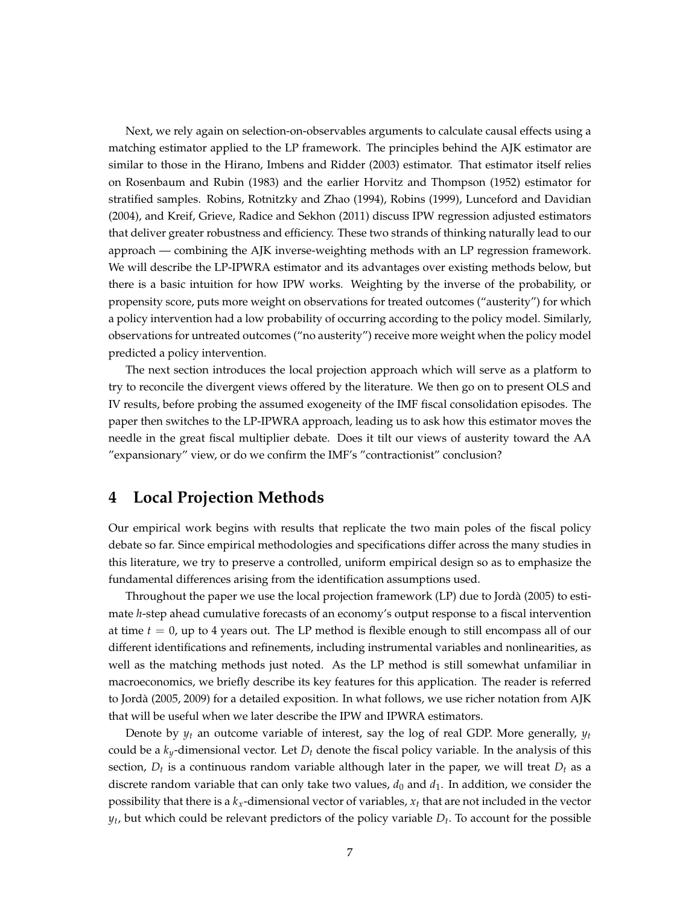Next, we rely again on selection-on-observables arguments to calculate causal effects using a matching estimator applied to the LP framework. The principles behind the AJK estimator are similar to those in the Hirano, Imbens and Ridder (2003) estimator. That estimator itself relies on Rosenbaum and Rubin (1983) and the earlier Horvitz and Thompson (1952) estimator for stratified samples. Robins, Rotnitzky and Zhao (1994), Robins (1999), Lunceford and Davidian (2004), and Kreif, Grieve, Radice and Sekhon (2011) discuss IPW regression adjusted estimators that deliver greater robustness and efficiency. These two strands of thinking naturally lead to our approach — combining the AJK inverse-weighting methods with an LP regression framework. We will describe the LP-IPWRA estimator and its advantages over existing methods below, but there is a basic intuition for how IPW works. Weighting by the inverse of the probability, or propensity score, puts more weight on observations for treated outcomes ("austerity") for which a policy intervention had a low probability of occurring according to the policy model. Similarly, observations for untreated outcomes ("no austerity") receive more weight when the policy model predicted a policy intervention.

The next section introduces the local projection approach which will serve as a platform to try to reconcile the divergent views offered by the literature. We then go on to present OLS and IV results, before probing the assumed exogeneity of the IMF fiscal consolidation episodes. The paper then switches to the LP-IPWRA approach, leading us to ask how this estimator moves the needle in the great fiscal multiplier debate. Does it tilt our views of austerity toward the AA "expansionary" view, or do we confirm the IMF's "contractionist" conclusion?

### <span id="page-8-0"></span>**4 Local Projection Methods**

Our empirical work begins with results that replicate the two main poles of the fiscal policy debate so far. Since empirical methodologies and specifications differ across the many studies in this literature, we try to preserve a controlled, uniform empirical design so as to emphasize the fundamental differences arising from the identification assumptions used.

Throughout the paper we use the local projection framework (LP) due to Jorda (2005) to esti- ` mate *h*-step ahead cumulative forecasts of an economy's output response to a fiscal intervention at time *t* = 0, up to 4 years out. The LP method is flexible enough to still encompass all of our different identifications and refinements, including instrumental variables and nonlinearities, as well as the matching methods just noted. As the LP method is still somewhat unfamiliar in macroeconomics, we briefly describe its key features for this application. The reader is referred to Jorda (2005, 2009) for a detailed exposition. In what follows, we use richer notation from AJK ` that will be useful when we later describe the IPW and IPWRA estimators.

Denote by  $y_t$  an outcome variable of interest, say the log of real GDP. More generally,  $y_t$ could be a *ky*-dimensional vector. Let *D<sup>t</sup>* denote the fiscal policy variable. In the analysis of this section, *D<sup>t</sup>* is a continuous random variable although later in the paper, we will treat *D<sup>t</sup>* as a discrete random variable that can only take two values,  $d_0$  and  $d_1$ . In addition, we consider the possibility that there is a *kx*-dimensional vector of variables, *x<sup>t</sup>* that are not included in the vector *yt* , but which could be relevant predictors of the policy variable *D<sup>t</sup>* . To account for the possible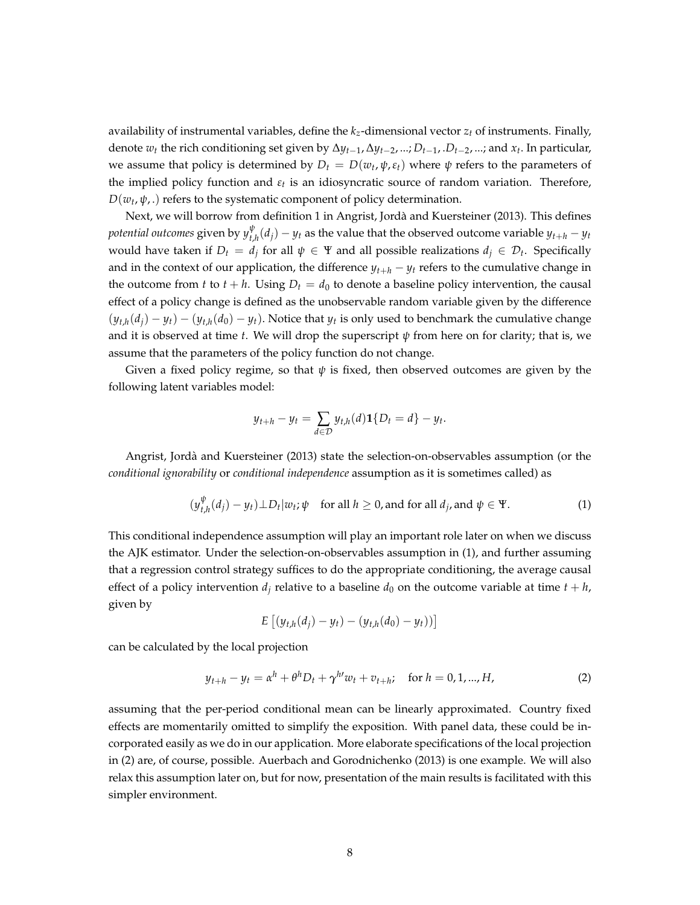availability of instrumental variables, define the  $k_z$ -dimensional vector  $z_t$  of instruments. Finally, denote *w<sup>t</sup>* the rich conditioning set given by ∆*yt*−1, ∆*yt*−2, ...; *Dt*−1, .*Dt*−2, ...; and *x<sup>t</sup>* . In particular, we assume that policy is determined by  $D_t = D(w_t, \psi, \varepsilon_t)$  where  $\psi$  refers to the parameters of the implied policy function and *εt* is an idiosyncratic source of random variation. Therefore,  $D(w_t, \psi, \cdot)$  refers to the systematic component of policy determination.

Next, we will borrow from definition 1 in Angrist, Jorda and Kuersteiner (2013). This defines ` *potential outcomes* given by *y ψ*  $t_{t,h}^{\psi}(d_j) - y_t$  as the value that the observed outcome variable  $y_{t+h} - y_t$ would have taken if  $D_t = d_j$  for all  $\psi \in \Psi$  and all possible realizations  $d_j \in \mathcal{D}_t$ . Specifically and in the context of our application, the difference  $y_{t+h} - y_t$  refers to the cumulative change in the outcome from *t* to  $t + h$ . Using  $D_t = d_0$  to denote a baseline policy intervention, the causal effect of a policy change is defined as the unobservable random variable given by the difference  $(y_{t,h}(d_j) - y_t) - (y_{t,h}(d_0) - y_t)$ . Notice that  $y_t$  is only used to benchmark the cumulative change and it is observed at time *t*. We will drop the superscript  $\psi$  from here on for clarity; that is, we assume that the parameters of the policy function do not change.

Given a fixed policy regime, so that  $\psi$  is fixed, then observed outcomes are given by the following latent variables model:

$$
y_{t+h} - y_t = \sum_{d \in \mathcal{D}} y_{t,h}(d) \mathbf{1} \{ D_t = d \} - y_t
$$

Angrist, Jorda and Kuersteiner (2013) state the selection-on-observables assumption (or the ` *conditional ignorability* or *conditional independence* assumption as it is sometimes called) as

<span id="page-9-0"></span>
$$
(y_{t,h}^{\psi}(d_j) - y_t) \perp D_t |w_t; \psi \quad \text{for all } h \ge 0 \text{, and for all } d_j \text{, and } \psi \in \Psi. \tag{1}
$$

.

This conditional independence assumption will play an important role later on when we discuss the AJK estimator. Under the selection-on-observables assumption in [\(1\)](#page-9-0), and further assuming that a regression control strategy suffices to do the appropriate conditioning, the average causal effect of a policy intervention  $d_i$  relative to a baseline  $d_0$  on the outcome variable at time  $t + h$ , given by

$$
E [(y_{t,h}(d_j) - y_t) - (y_{t,h}(d_0) - y_t))]
$$

can be calculated by the local projection

<span id="page-9-1"></span>
$$
y_{t+h} - y_t = \alpha^h + \theta^h D_t + \gamma^{h'} w_t + v_{t+h}; \quad \text{for } h = 0, 1, ..., H,
$$
 (2)

assuming that the per-period conditional mean can be linearly approximated. Country fixed effects are momentarily omitted to simplify the exposition. With panel data, these could be incorporated easily as we do in our application. More elaborate specifications of the local projection in [\(2\)](#page-9-1) are, of course, possible. Auerbach and Gorodnichenko (2013) is one example. We will also relax this assumption later on, but for now, presentation of the main results is facilitated with this simpler environment.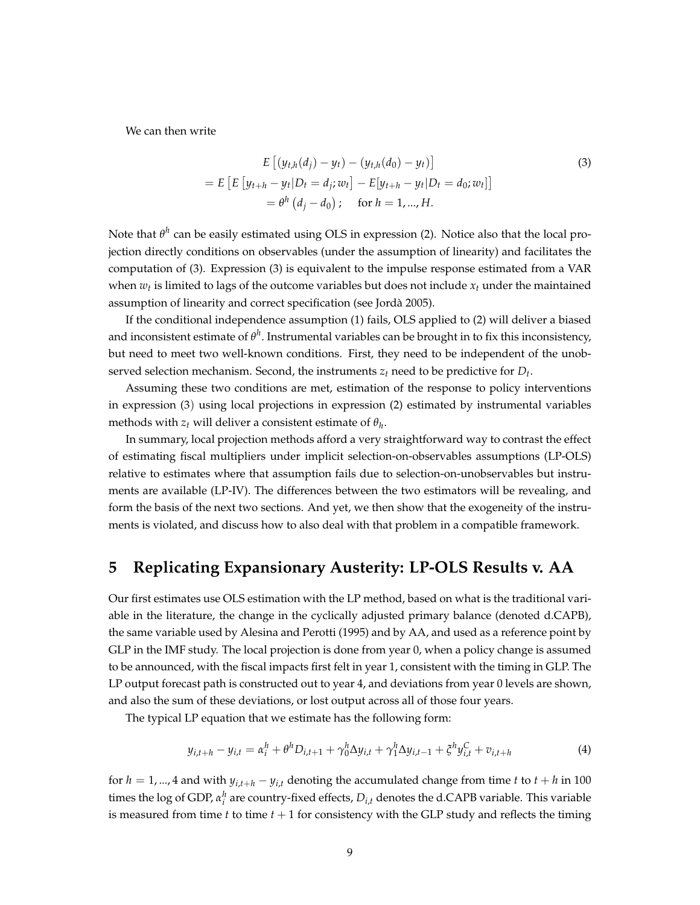We can then write

<span id="page-10-0"></span>
$$
E\left[(y_{t,h}(d_j) - y_t) - (y_{t,h}(d_0) - y_t)\right]
$$
  
= 
$$
E\left[E\left[y_{t+h} - y_t | D_t = d_j; w_t\right] - E[y_{t+h} - y_t | D_t = d_0; w_t]\right]
$$
  
= 
$$
\theta^h\left(d_j - d_0\right); \quad \text{for } h = 1, ..., H.
$$
 (3)

Note that *θ h* can be easily estimated using OLS in expression [\(2\)](#page-9-1). Notice also that the local projection directly conditions on observables (under the assumption of linearity) and facilitates the computation of [\(3\)](#page-10-0). Expression [\(3\)](#page-10-0) is equivalent to the impulse response estimated from a VAR when  $w_t$  is limited to lags of the outcome variables but does not include  $x_t$  under the maintained assumption of linearity and correct specification (see Jorda 2005). `

If the conditional independence assumption [\(1\)](#page-9-0) fails, OLS applied to [\(2\)](#page-9-1) will deliver a biased and inconsistent estimate of  $\theta^h$ . Instrumental variables can be brought in to fix this inconsistency, but need to meet two well-known conditions. First, they need to be independent of the unobserved selection mechanism. Second, the instruments  $z_t$  need to be predictive for  $D_t$ .

Assuming these two conditions are met, estimation of the response to policy interventions in expression [\(3](#page-10-0)) using local projections in expression [\(2\)](#page-9-1) estimated by instrumental variables methods with  $z_t$  will deliver a consistent estimate of  $\theta_h$ .

In summary, local projection methods afford a very straightforward way to contrast the effect of estimating fiscal multipliers under implicit selection-on-observables assumptions (LP-OLS) relative to estimates where that assumption fails due to selection-on-unobservables but instruments are available (LP-IV). The differences between the two estimators will be revealing, and form the basis of the next two sections. And yet, we then show that the exogeneity of the instruments is violated, and discuss how to also deal with that problem in a compatible framework.

## **5 Replicating Expansionary Austerity: LP-OLS Results v. AA**

Our first estimates use OLS estimation with the LP method, based on what is the traditional variable in the literature, the change in the cyclically adjusted primary balance (denoted d.CAPB), the same variable used by Alesina and Perotti (1995) and by AA, and used as a reference point by GLP in the IMF study. The local projection is done from year 0, when a policy change is assumed to be announced, with the fiscal impacts first felt in year 1, consistent with the timing in GLP. The LP output forecast path is constructed out to year 4, and deviations from year 0 levels are shown, and also the sum of these deviations, or lost output across all of those four years.

The typical LP equation that we estimate has the following form:

<span id="page-10-1"></span>
$$
y_{i,t+h} - y_{i,t} = \alpha_i^h + \theta^h D_{i,t+1} + \gamma_0^h \Delta y_{i,t} + \gamma_1^h \Delta y_{i,t-1} + \xi^h y_{i,t}^C + v_{i,t+h}
$$
(4)

for  $h = 1, ..., 4$  and with  $y_{i,t+h} - y_{i,t}$  denoting the accumulated change from time  $t$  to  $t + h$  in 100 times the log of GDP,  $\alpha_i^h$  are country-fixed effects,  $D_{i,t}$  denotes the d.CAPB variable. This variable is measured from time  $t$  to time  $t + 1$  for consistency with the GLP study and reflects the timing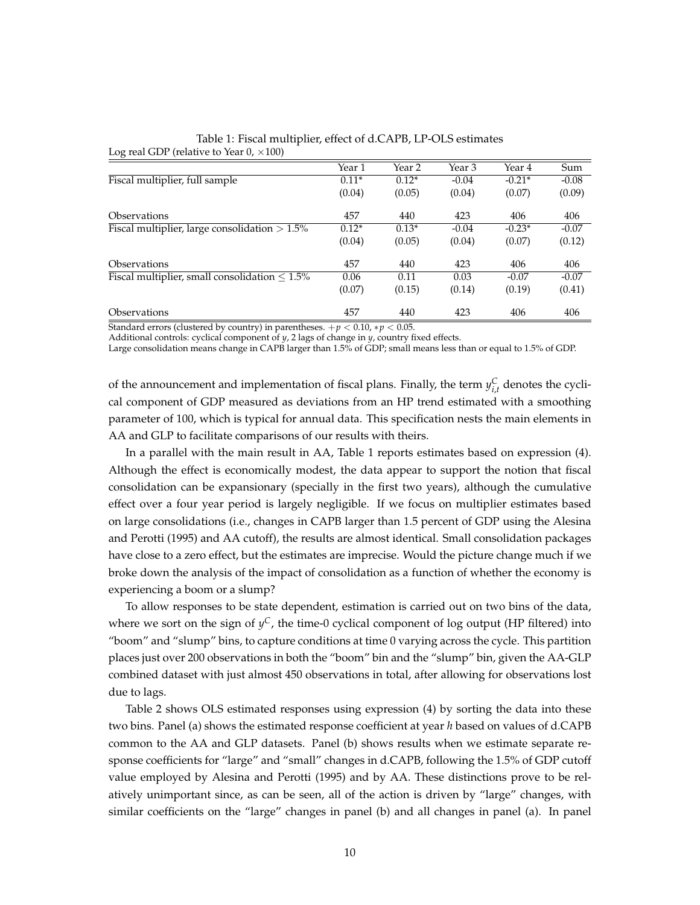| $\sim$                                              | Year 1  | Year 2  | Year 3  | Year 4   | Sum     |
|-----------------------------------------------------|---------|---------|---------|----------|---------|
| Fiscal multiplier, full sample                      | $0.11*$ | $0.12*$ | $-0.04$ | $-0.21*$ | $-0.08$ |
|                                                     | (0.04)  | (0.05)  | (0.04)  | (0.07)   | (0.09)  |
| <b>Observations</b>                                 | 457     | 440     | 423     | 406      | 406     |
| Fiscal multiplier, large consolidation $> 1.5\%$    | $0.12*$ | $0.13*$ | $-0.04$ | $-0.23*$ | $-0.07$ |
|                                                     | (0.04)  | (0.05)  | (0.04)  | (0.07)   | (0.12)  |
| <b>Observations</b>                                 | 457     | 440     | 423     | 406      | 406     |
| Fiscal multiplier, small consolidation $\leq 1.5\%$ | 0.06    | 0.11    | 0.03    | $-0.07$  | $-0.07$ |
|                                                     | (0.07)  | (0.15)  | (0.14)  | (0.19)   | (0.41)  |
| <i><b>Observations</b></i>                          | 457     | 440     | 423     | 406      | 406     |

<span id="page-11-0"></span>Table 1: Fiscal multiplier, effect of d.CAPB, LP-OLS estimates Log real GDP (relative to Year  $0, \times 100$ )

Standard errors (clustered by country) in parentheses.  $+p < 0.10$ ,  $*p < 0.05$ .

Additional controls: cyclical component of *y*, 2 lags of change in *y*, country fixed effects.

Large consolidation means change in CAPB larger than 1.5% of GDP; small means less than or equal to 1.5% of GDP.

of the announcement and implementation of fiscal plans. Finally, the term  $y_{i,t}^C$  denotes the cyclical component of GDP measured as deviations from an HP trend estimated with a smoothing parameter of 100, which is typical for annual data. This specification nests the main elements in AA and GLP to facilitate comparisons of our results with theirs.

In a parallel with the main result in AA, Table [1](#page-11-0) reports estimates based on expression [\(4\)](#page-10-1). Although the effect is economically modest, the data appear to support the notion that fiscal consolidation can be expansionary (specially in the first two years), although the cumulative effect over a four year period is largely negligible. If we focus on multiplier estimates based on large consolidations (i.e., changes in CAPB larger than 1.5 percent of GDP using the Alesina and Perotti (1995) and AA cutoff), the results are almost identical. Small consolidation packages have close to a zero effect, but the estimates are imprecise. Would the picture change much if we broke down the analysis of the impact of consolidation as a function of whether the economy is experiencing a boom or a slump?

To allow responses to be state dependent, estimation is carried out on two bins of the data, where we sort on the sign of *y <sup>C</sup>*, the time-0 cyclical component of log output (HP filtered) into "boom" and "slump" bins, to capture conditions at time 0 varying across the cycle. This partition places just over 200 observations in both the "boom" bin and the "slump" bin, given the AA-GLP combined dataset with just almost 450 observations in total, after allowing for observations lost due to lags.

Table [2](#page-12-0) shows OLS estimated responses using expression [\(4\)](#page-10-1) by sorting the data into these two bins. Panel (a) shows the estimated response coefficient at year *h* based on values of d.CAPB common to the AA and GLP datasets. Panel (b) shows results when we estimate separate response coefficients for "large" and "small" changes in d.CAPB, following the 1.5% of GDP cutoff value employed by Alesina and Perotti (1995) and by AA. These distinctions prove to be relatively unimportant since, as can be seen, all of the action is driven by "large" changes, with similar coefficients on the "large" changes in panel (b) and all changes in panel (a). In panel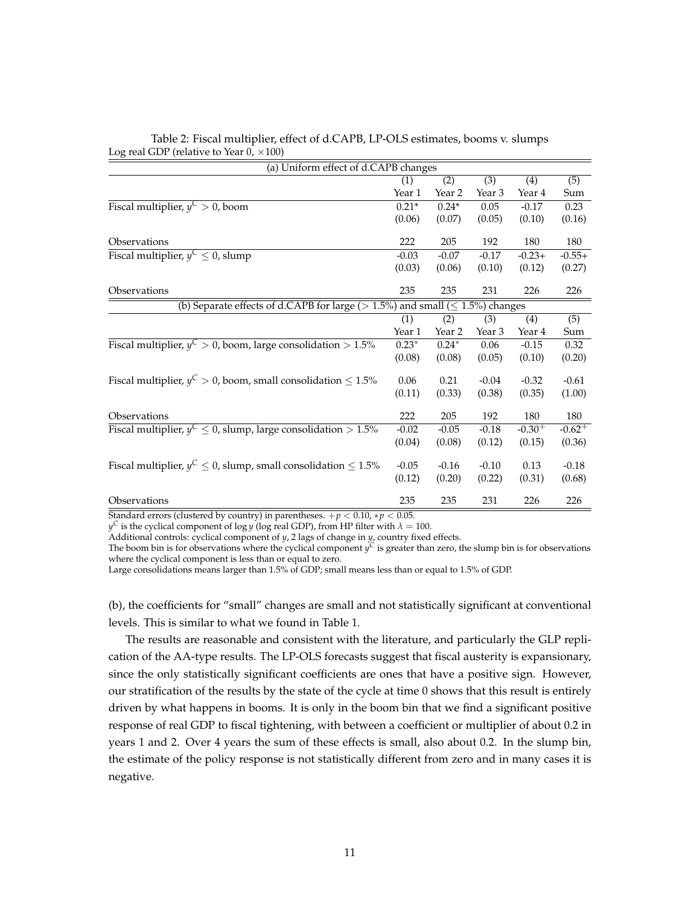| (a) Uniform effect of d.CAPB changes                                                      |         |                  |                  |                  |                      |  |
|-------------------------------------------------------------------------------------------|---------|------------------|------------------|------------------|----------------------|--|
|                                                                                           | (1)     | $\overline{(2)}$ | $\overline{(3)}$ | (4)              | $\overline{(5)}$     |  |
|                                                                                           | Year 1  | Year 2           | Year 3           | Year 4           | Sum                  |  |
| Fiscal multiplier, $y^C > 0$ , boom                                                       | $0.21*$ | $0.24*$          | 0.05             | $-0.17$          | 0.23                 |  |
|                                                                                           | (0.06)  | (0.07)           | (0.05)           | (0.10)           | (0.16)               |  |
| Observations                                                                              | 222     | 205              | 192              | 180              | 180                  |  |
| Fiscal multiplier, $y^C \leq 0$ , slump                                                   | $-0.03$ | $-0.07$          | $-0.17$          | $-0.23+$         | $-0.55+$             |  |
|                                                                                           | (0.03)  | (0.06)           | (0.10)           | (0.12)           | (0.27)               |  |
| Observations                                                                              | 235     | 235              | 231              | 226              | 226                  |  |
| (b) Separate effects of d.CAPB for large ( $> 1.5\%$ ) and small ( $\leq 1.5\%$ ) changes |         |                  |                  |                  |                      |  |
|                                                                                           | (1)     | (2)              | (3)              | $\overline{(4)}$ | $\overline{(5)}$     |  |
|                                                                                           | Year 1  | Year 2           | Year 3           | Year 4           | Sum                  |  |
| Fiscal multiplier, $y^C > 0$ , boom, large consolidation $> 1.5\%$                        | $0.23*$ | $0.24*$          | 0.06             | $-0.15$          | 0.32                 |  |
|                                                                                           | (0.08)  | (0.08)           | (0.05)           | (0.10)           | (0.20)               |  |
| Fiscal multiplier, $y^C > 0$ , boom, small consolidation $\leq 1.5\%$                     | 0.06    | 0.21             | $-0.04$          | $-0.32$          | $-0.61$              |  |
|                                                                                           | (0.11)  | (0.33)           | (0.38)           | (0.35)           | (1.00)               |  |
| Observations                                                                              | 222     | 205              | 192              | 180              | 180                  |  |
| Fiscal multiplier, $y^C \le 0$ , slump, large consolidation $> 1.5\%$                     | $-0.02$ | $-0.05$          | $-0.18$          | $-0.30^{+}$      | $-0.62$ <sup>+</sup> |  |
|                                                                                           | (0.04)  | (0.08)           | (0.12)           | (0.15)           | (0.36)               |  |
| Fiscal multiplier, $y^C \le 0$ , slump, small consolidation $\le 1.5\%$                   | $-0.05$ | $-0.16$          | $-0.10$          | 0.13             | $-0.18$              |  |
|                                                                                           | (0.12)  | (0.20)           | (0.22)           | (0.31)           | (0.68)               |  |
| Observations                                                                              | 235     | 235              | 231              | 226              | 226                  |  |

#### <span id="page-12-0"></span>Table 2: Fiscal multiplier, effect of d.CAPB, LP-OLS estimates, booms v. slumps Log real GDP (relative to Year  $0, \times 100$ )

Standard errors (clustered by country) in parentheses.  $+p < 0.10$ ,  $*p < 0.05$ .

 $y^C$  is the cyclical component of log *y* (log real GDP), from HP filter with  $\lambda = 100$ .

Additional controls: cyclical component of *y*, 2 lags of change in *y*, country fixed effects.

The boom bin is for observations where the cyclical component  $y^C$  is greater than zero, the slump bin is for observations where the cyclical component is less than or equal to zero.

Large consolidations means larger than 1.5% of GDP; small means less than or equal to 1.5% of GDP.

(b), the coefficients for "small" changes are small and not statistically significant at conventional levels. This is similar to what we found in Table [1.](#page-11-0)

The results are reasonable and consistent with the literature, and particularly the GLP replication of the AA-type results. The LP-OLS forecasts suggest that fiscal austerity is expansionary, since the only statistically significant coefficients are ones that have a positive sign. However, our stratification of the results by the state of the cycle at time 0 shows that this result is entirely driven by what happens in booms. It is only in the boom bin that we find a significant positive response of real GDP to fiscal tightening, with between a coefficient or multiplier of about 0.2 in years 1 and 2. Over 4 years the sum of these effects is small, also about 0.2. In the slump bin, the estimate of the policy response is not statistically different from zero and in many cases it is negative.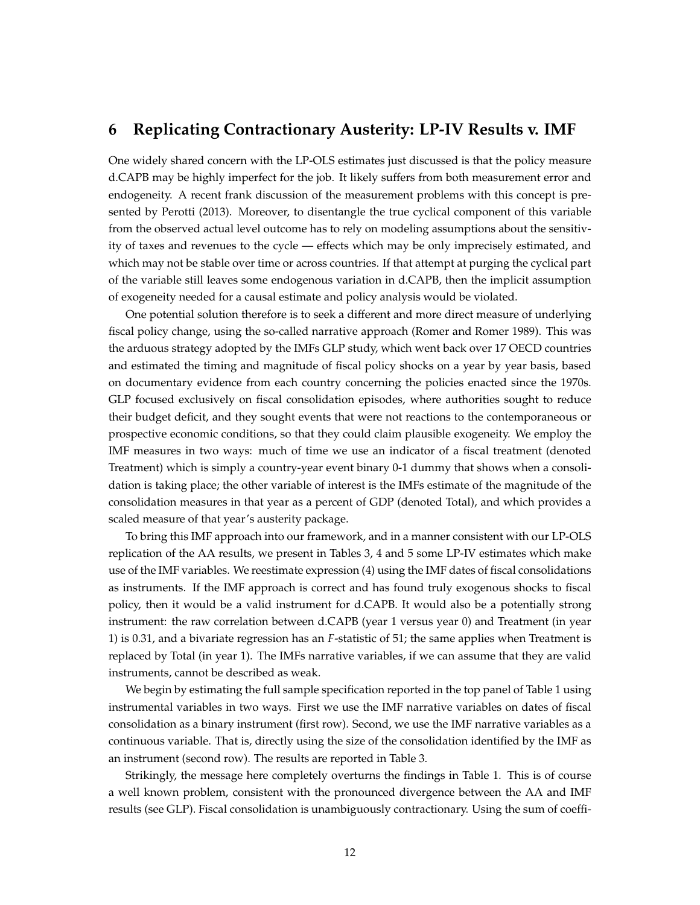### **6 Replicating Contractionary Austerity: LP-IV Results v. IMF**

One widely shared concern with the LP-OLS estimates just discussed is that the policy measure d.CAPB may be highly imperfect for the job. It likely suffers from both measurement error and endogeneity. A recent frank discussion of the measurement problems with this concept is presented by Perotti (2013). Moreover, to disentangle the true cyclical component of this variable from the observed actual level outcome has to rely on modeling assumptions about the sensitivity of taxes and revenues to the cycle — effects which may be only imprecisely estimated, and which may not be stable over time or across countries. If that attempt at purging the cyclical part of the variable still leaves some endogenous variation in d.CAPB, then the implicit assumption of exogeneity needed for a causal estimate and policy analysis would be violated.

One potential solution therefore is to seek a different and more direct measure of underlying fiscal policy change, using the so-called narrative approach (Romer and Romer 1989). This was the arduous strategy adopted by the IMFs GLP study, which went back over 17 OECD countries and estimated the timing and magnitude of fiscal policy shocks on a year by year basis, based on documentary evidence from each country concerning the policies enacted since the 1970s. GLP focused exclusively on fiscal consolidation episodes, where authorities sought to reduce their budget deficit, and they sought events that were not reactions to the contemporaneous or prospective economic conditions, so that they could claim plausible exogeneity. We employ the IMF measures in two ways: much of time we use an indicator of a fiscal treatment (denoted Treatment) which is simply a country-year event binary 0-1 dummy that shows when a consolidation is taking place; the other variable of interest is the IMFs estimate of the magnitude of the consolidation measures in that year as a percent of GDP (denoted Total), and which provides a scaled measure of that year's austerity package.

To bring this IMF approach into our framework, and in a manner consistent with our LP-OLS replication of the AA results, we present in Tables [3,](#page-14-0) [4](#page-14-1) and [5](#page-15-0) some LP-IV estimates which make use of the IMF variables. We reestimate expression [\(4\)](#page-10-1) using the IMF dates of fiscal consolidations as instruments. If the IMF approach is correct and has found truly exogenous shocks to fiscal policy, then it would be a valid instrument for d.CAPB. It would also be a potentially strong instrument: the raw correlation between d.CAPB (year 1 versus year 0) and Treatment (in year 1) is 0.31, and a bivariate regression has an *F*-statistic of 51; the same applies when Treatment is replaced by Total (in year 1). The IMFs narrative variables, if we can assume that they are valid instruments, cannot be described as weak.

We begin by estimating the full sample specification reported in the top panel of Table [1](#page-11-0) using instrumental variables in two ways. First we use the IMF narrative variables on dates of fiscal consolidation as a binary instrument (first row). Second, we use the IMF narrative variables as a continuous variable. That is, directly using the size of the consolidation identified by the IMF as an instrument (second row). The results are reported in Table [3.](#page-14-0)

Strikingly, the message here completely overturns the findings in Table [1.](#page-11-0) This is of course a well known problem, consistent with the pronounced divergence between the AA and IMF results (see GLP). Fiscal consolidation is unambiguously contractionary. Using the sum of coeffi-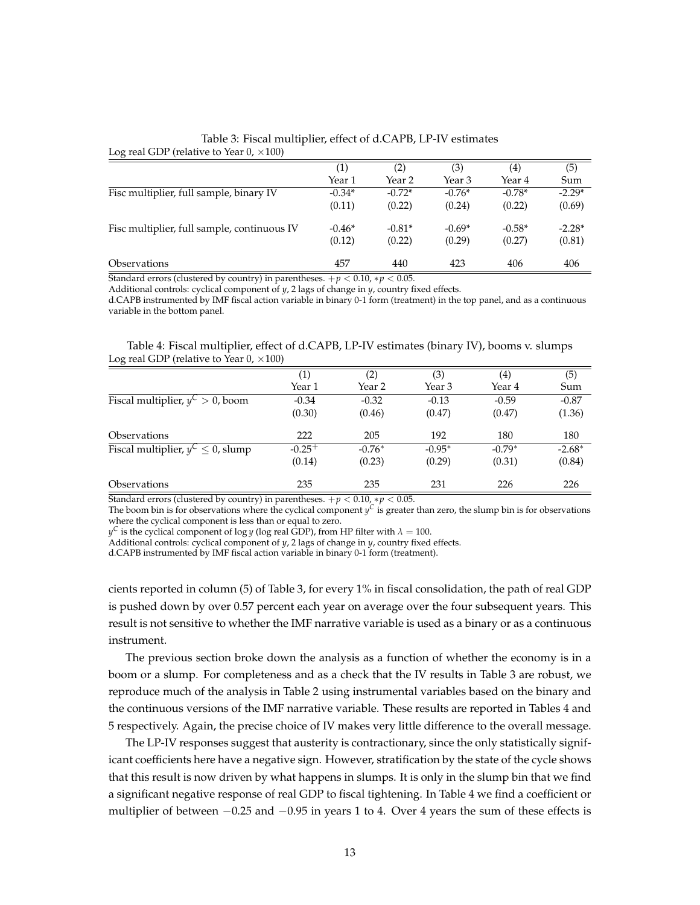<span id="page-14-0"></span>

| Log real GDP (relative to Year 0, $\times$ 100) |          |          |          |          |          |
|-------------------------------------------------|----------|----------|----------|----------|----------|
|                                                 | (1)      | (2)      | (3)      | (4)      | (5)      |
|                                                 | Year 1   | Year 2   | Year 3   | Year 4   | Sum      |
| Fisc multiplier, full sample, binary IV         | $-0.34*$ | $-0.72*$ | $-0.76*$ | $-0.78*$ | $-2.29*$ |
|                                                 | (0.11)   | (0.22)   | (0.24)   | (0.22)   | (0.69)   |
| Fisc multiplier, full sample, continuous IV     | $-0.46*$ | $-0.81*$ | $-0.69*$ | $-0.58*$ | $-2.28*$ |
|                                                 | (0.12)   | (0.22)   | (0.29)   | (0.27)   | (0.81)   |
| <i><b>Observations</b></i>                      | 457      | 440      | 423      | 406      | 406      |

Table 3: Fiscal multiplier, effect of d.CAPB, LP-IV estimates

Standard errors (clustered by country) in parentheses.  $+p < 0.10$ ,  $*p < 0.05$ .

Additional controls: cyclical component of *y*, 2 lags of change in *y*, country fixed effects.

d.CAPB instrumented by IMF fiscal action variable in binary 0-1 form (treatment) in the top panel, and as a continuous variable in the bottom panel.

<span id="page-14-1"></span>Table 4: Fiscal multiplier, effect of d.CAPB, LP-IV estimates (binary IV), booms v. slumps Log real GDP (relative to Year  $0, \times 100$ )

| $\sim$                                  |          |                   |          |                   |          |
|-----------------------------------------|----------|-------------------|----------|-------------------|----------|
|                                         | (1)      | $\left( 2\right)$ | (3)      | $\left( 4\right)$ | (5)      |
|                                         | Year 1   | Year 2            | Year 3   | Year 4            | Sum      |
| Fiscal multiplier, $y^C > 0$ , boom     | $-0.34$  | $-0.32$           | $-0.13$  | $-0.59$           | $-0.87$  |
|                                         | (0.30)   | (0.46)            | (0.47)   | (0.47)            | (1.36)   |
| <i><b>Observations</b></i>              | 222      | 205               | 192      | 180               | 180      |
| Fiscal multiplier, $y^C \leq 0$ , slump | $-0.25+$ | $-0.76*$          | $-0.95*$ | $-0.79*$          | $-2.68*$ |
|                                         | (0.14)   | (0.23)            | (0.29)   | (0.31)            | (0.84)   |
| <i><b>Observations</b></i>              | 235      | 235               | 231      | 226               | 226      |

Standard errors (clustered by country) in parentheses.  $+p < 0.10$ ,  $*p < 0.05$ .

The boom bin is for observations where the cyclical component  $y^C$  is greater than zero, the slump bin is for observations where the cyclical component is less than or equal to zero.

 $y^{\mathsf{C}}$  is the cyclical component of log *y* (log real GDP), from HP filter with  $\lambda=100.$ 

Additional controls: cyclical component of *y*, 2 lags of change in *y*, country fixed effects.

d.CAPB instrumented by IMF fiscal action variable in binary 0-1 form (treatment).

cients reported in column (5) of Table [3,](#page-14-0) for every 1% in fiscal consolidation, the path of real GDP is pushed down by over 0.57 percent each year on average over the four subsequent years. This result is not sensitive to whether the IMF narrative variable is used as a binary or as a continuous instrument.

The previous section broke down the analysis as a function of whether the economy is in a boom or a slump. For completeness and as a check that the IV results in Table [3](#page-14-0) are robust, we reproduce much of the analysis in Table [2](#page-12-0) using instrumental variables based on the binary and the continuous versions of the IMF narrative variable. These results are reported in Tables [4](#page-14-1) and [5](#page-15-0) respectively. Again, the precise choice of IV makes very little difference to the overall message.

The LP-IV responses suggest that austerity is contractionary, since the only statistically significant coefficients here have a negative sign. However, stratification by the state of the cycle shows that this result is now driven by what happens in slumps. It is only in the slump bin that we find a significant negative response of real GDP to fiscal tightening. In Table [4](#page-14-1) we find a coefficient or multiplier of between −0.25 and −0.95 in years 1 to 4. Over 4 years the sum of these effects is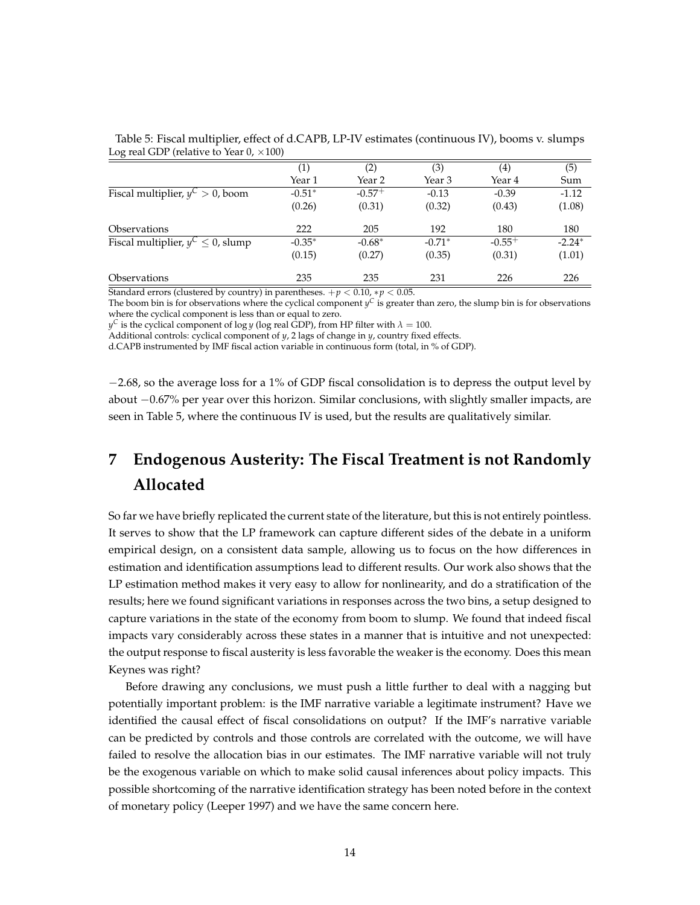| $\sim$                                 |                     |             |          |             |          |
|----------------------------------------|---------------------|-------------|----------|-------------|----------|
|                                        | $\scriptstyle{(1)}$ | (2)         | (3)      | (4)         | (5)      |
|                                        | Year 1              | Year 2      | Year 3   | Year 4      | Sum      |
| Fiscal multiplier, $y^C > 0$ , boom    | $-0.51*$            | $-0.57^{+}$ | $-0.13$  | $-0.39$     | $-1.12$  |
|                                        | (0.26)              | (0.31)      | (0.32)   | (0.43)      | (1.08)   |
| <i><b>Observations</b></i>             | 222                 | 205         | 192      | 180         | 180      |
| Fiscal multiplier, $y^C \le 0$ , slump | $-0.35*$            | $-0.68*$    | $-0.71*$ | $-0.55^{+}$ | $-2.24*$ |
|                                        | (0.15)              | (0.27)      | (0.35)   | (0.31)      | (1.01)   |
| <i><b>Observations</b></i>             | 235                 | 235         | 231      | 226         | 226      |

<span id="page-15-0"></span>Table 5: Fiscal multiplier, effect of d.CAPB, LP-IV estimates (continuous IV), booms v. slumps Log real GDP (relative to Year  $0, \times 100$ )

Standard errors (clustered by country) in parentheses.  $+p < 0.10$ ,  $*p < 0.05$ .

The boom bin is for observations where the cyclical component  $y^C$  is greater than zero, the slump bin is for observations where the cyclical component is less than or equal to zero.

 $y^C$  is the cyclical component of log *y* (log real GDP), from HP filter with  $\lambda = 100$ .

Additional controls: cyclical component of *y*, 2 lags of change in *y*, country fixed effects.

d.CAPB instrumented by IMF fiscal action variable in continuous form (total, in % of GDP).

−2.68, so the average loss for a 1% of GDP fiscal consolidation is to depress the output level by about −0.67% per year over this horizon. Similar conclusions, with slightly smaller impacts, are seen in Table [5,](#page-15-0) where the continuous IV is used, but the results are qualitatively similar.

# **7 Endogenous Austerity: The Fiscal Treatment is not Randomly Allocated**

So far we have briefly replicated the current state of the literature, but this is not entirely pointless. It serves to show that the LP framework can capture different sides of the debate in a uniform empirical design, on a consistent data sample, allowing us to focus on the how differences in estimation and identification assumptions lead to different results. Our work also shows that the LP estimation method makes it very easy to allow for nonlinearity, and do a stratification of the results; here we found significant variations in responses across the two bins, a setup designed to capture variations in the state of the economy from boom to slump. We found that indeed fiscal impacts vary considerably across these states in a manner that is intuitive and not unexpected: the output response to fiscal austerity is less favorable the weaker is the economy. Does this mean Keynes was right?

Before drawing any conclusions, we must push a little further to deal with a nagging but potentially important problem: is the IMF narrative variable a legitimate instrument? Have we identified the causal effect of fiscal consolidations on output? If the IMF's narrative variable can be predicted by controls and those controls are correlated with the outcome, we will have failed to resolve the allocation bias in our estimates. The IMF narrative variable will not truly be the exogenous variable on which to make solid causal inferences about policy impacts. This possible shortcoming of the narrative identification strategy has been noted before in the context of monetary policy (Leeper 1997) and we have the same concern here.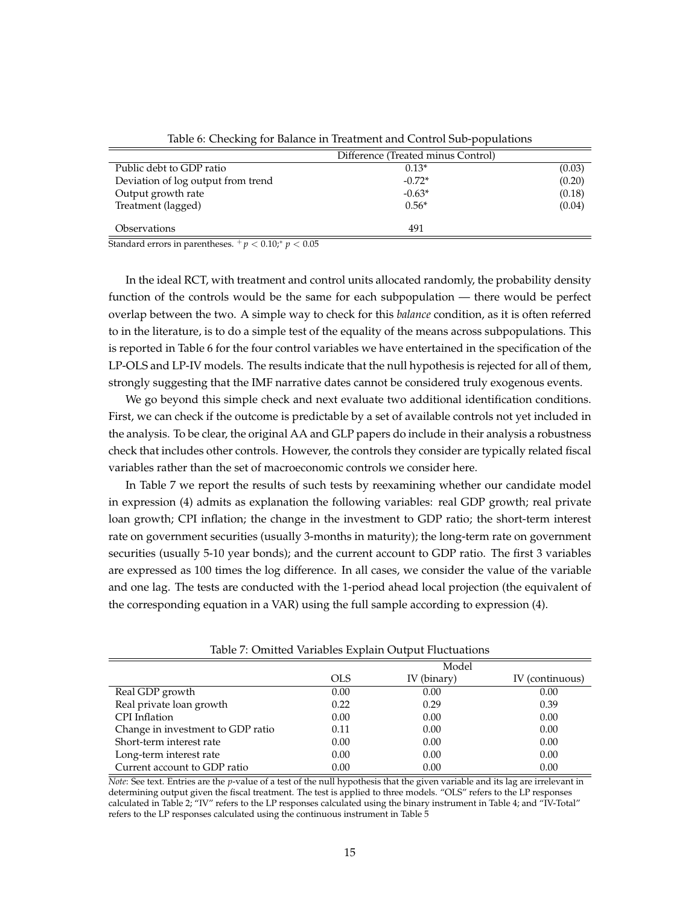<span id="page-16-0"></span>

|                                    | Difference (Treated minus Control) |        |
|------------------------------------|------------------------------------|--------|
| Public debt to GDP ratio           | $0.13*$                            | (0.03) |
| Deviation of log output from trend | $-0.72*$                           | (0.20) |
| Output growth rate                 | $-0.63*$                           | (0.18) |
| Treatment (lagged)                 | $0.56*$                            | (0.04) |
| <i><b>Observations</b></i>         | 491                                |        |

Table 6: Checking for Balance in Treatment and Control Sub-populations

Standard errors in parentheses.  $+p < 0.10$ ;<sup>\*</sup>  $p < 0.05$ 

In the ideal RCT, with treatment and control units allocated randomly, the probability density function of the controls would be the same for each subpopulation — there would be perfect overlap between the two. A simple way to check for this *balance* condition, as it is often referred to in the literature, is to do a simple test of the equality of the means across subpopulations. This is reported in Table [6](#page-16-0) for the four control variables we have entertained in the specification of the LP-OLS and LP-IV models. The results indicate that the null hypothesis is rejected for all of them, strongly suggesting that the IMF narrative dates cannot be considered truly exogenous events.

We go beyond this simple check and next evaluate two additional identification conditions. First, we can check if the outcome is predictable by a set of available controls not yet included in the analysis. To be clear, the original AA and GLP papers do include in their analysis a robustness check that includes other controls. However, the controls they consider are typically related fiscal variables rather than the set of macroeconomic controls we consider here.

In Table [7](#page-16-1) we report the results of such tests by reexamining whether our candidate model in expression [\(4\)](#page-10-1) admits as explanation the following variables: real GDP growth; real private loan growth; CPI inflation; the change in the investment to GDP ratio; the short-term interest rate on government securities (usually 3-months in maturity); the long-term rate on government securities (usually 5-10 year bonds); and the current account to GDP ratio. The first 3 variables are expressed as 100 times the log difference. In all cases, we consider the value of the variable and one lag. The tests are conducted with the 1-period ahead local projection (the equivalent of the corresponding equation in a VAR) using the full sample according to expression [\(4\)](#page-10-1).

<span id="page-16-1"></span>

| Table 7: Omnica Vanabics Explant Output Hactaations |            |             |                 |  |  |
|-----------------------------------------------------|------------|-------------|-----------------|--|--|
|                                                     |            | Model       |                 |  |  |
|                                                     | <b>OLS</b> | IV (binary) | IV (continuous) |  |  |
| Real GDP growth                                     | 0.00       | 0.00        | 0.00            |  |  |
| Real private loan growth                            | 0.22       | 0.29        | 0.39            |  |  |
| CPI Inflation                                       | 0.00       | 0.00        | 0.00            |  |  |
| Change in investment to GDP ratio                   | 0.11       | 0.00        | 0.00            |  |  |
| Short-term interest rate                            | 0.00       | 0.00        | 0.00            |  |  |
| Long-term interest rate                             | 0.00       | 0.00        | 0.00            |  |  |
| Current account to GDP ratio                        | 0.00       | 0.00        | 0.00            |  |  |

Table 7: Omitted Variables Explain Output Fluctuations

*Note*: See text. Entries are the *p*-value of a test of the null hypothesis that the given variable and its lag are irrelevant in determining output given the fiscal treatment. The test is applied to three models. "OLS" refers to the LP responses calculated in Table [2;](#page-12-0) "IV" refers to the LP responses calculated using the binary instrument in Table [4;](#page-14-1) and "IV-Total" refers to the LP responses calculated using the continuous instrument in Table [5](#page-15-0)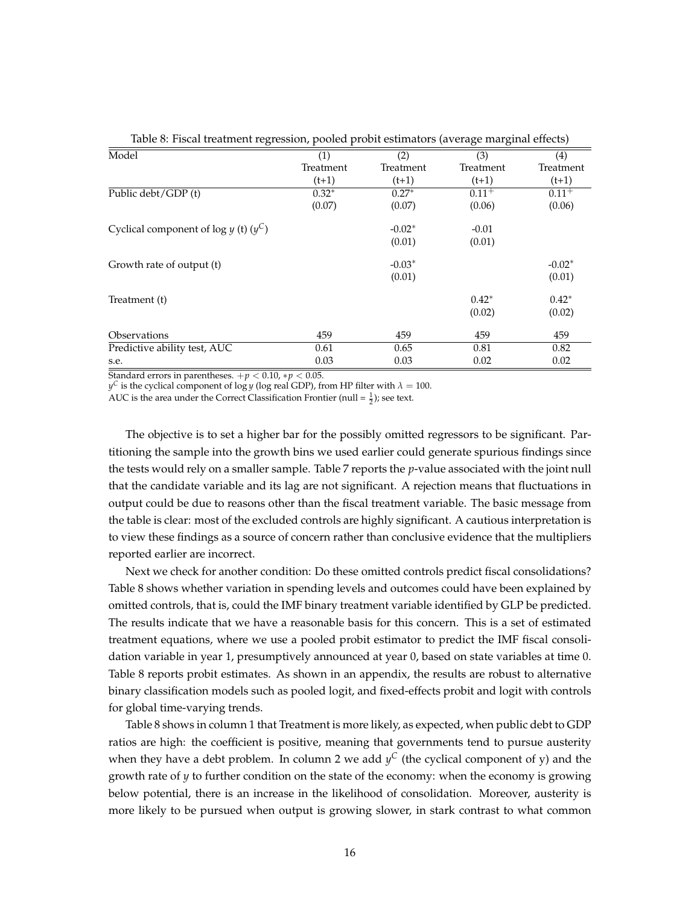<span id="page-17-0"></span>

| Table 8: Fiscal treatment regression, pooled probit estimators (average marginal effects) |           |           |           |            |  |  |
|-------------------------------------------------------------------------------------------|-----------|-----------|-----------|------------|--|--|
| Model                                                                                     | (1)       | (2)       | (3)       | (4)        |  |  |
|                                                                                           | Treatment | Treatment | Treatment | Treatment  |  |  |
|                                                                                           | $(t+1)$   | $(t+1)$   | $(t+1)$   | $(t+1)$    |  |  |
| Public debt/GDP (t)                                                                       | $0.32*$   | $0.27*$   | $0.11+$   | $0.11^{+}$ |  |  |
|                                                                                           | (0.07)    | (0.07)    | (0.06)    | (0.06)     |  |  |
| Cyclical component of $log y$ (t) $(y^C)$                                                 |           | $-0.02*$  | $-0.01$   |            |  |  |
|                                                                                           |           | (0.01)    | (0.01)    |            |  |  |
| Growth rate of output (t)                                                                 |           | $-0.03*$  |           | $-0.02*$   |  |  |
|                                                                                           |           | (0.01)    |           | (0.01)     |  |  |
| Treatment (t)                                                                             |           |           | $0.42*$   | $0.42*$    |  |  |
|                                                                                           |           |           | (0.02)    | (0.02)     |  |  |
| Observations                                                                              | 459       | 459       | 459       | 459        |  |  |
| Predictive ability test, AUC                                                              | 0.61      | 0.65      | 0.81      | 0.82       |  |  |
| s.e.                                                                                      | 0.03      | 0.03      | 0.02      | 0.02       |  |  |

Table 8: Fiscal treatment regression, pooled probit estimators (average marginal effects)

Standard errors in parentheses.  $+p < 0.10$ ,  $*p < 0.05$ .

 $y^{\mathsf{C}}$  is the cyclical component of log *y* (log real GDP), from HP filter with  $\lambda = 100$ .

AUC is the area under the Correct Classification Frontier (null  $=\frac{1}{2}$ ); see text.

The objective is to set a higher bar for the possibly omitted regressors to be significant. Partitioning the sample into the growth bins we used earlier could generate spurious findings since the tests would rely on a smaller sample. Table [7](#page-16-1) reports the *p*-value associated with the joint null that the candidate variable and its lag are not significant. A rejection means that fluctuations in output could be due to reasons other than the fiscal treatment variable. The basic message from the table is clear: most of the excluded controls are highly significant. A cautious interpretation is to view these findings as a source of concern rather than conclusive evidence that the multipliers reported earlier are incorrect.

Next we check for another condition: Do these omitted controls predict fiscal consolidations? Table [8](#page-17-0) shows whether variation in spending levels and outcomes could have been explained by omitted controls, that is, could the IMF binary treatment variable identified by GLP be predicted. The results indicate that we have a reasonable basis for this concern. This is a set of estimated treatment equations, where we use a pooled probit estimator to predict the IMF fiscal consolidation variable in year 1, presumptively announced at year 0, based on state variables at time 0. Table [8](#page-17-0) reports probit estimates. As shown in an appendix, the results are robust to alternative binary classification models such as pooled logit, and fixed-effects probit and logit with controls for global time-varying trends.

Table [8](#page-17-0) shows in column 1 that Treatment is more likely, as expected, when public debt to GDP ratios are high: the coefficient is positive, meaning that governments tend to pursue austerity when they have a debt problem. In column 2 we add  $y^C$  (the cyclical component of y) and the growth rate of *y* to further condition on the state of the economy: when the economy is growing below potential, there is an increase in the likelihood of consolidation. Moreover, austerity is more likely to be pursued when output is growing slower, in stark contrast to what common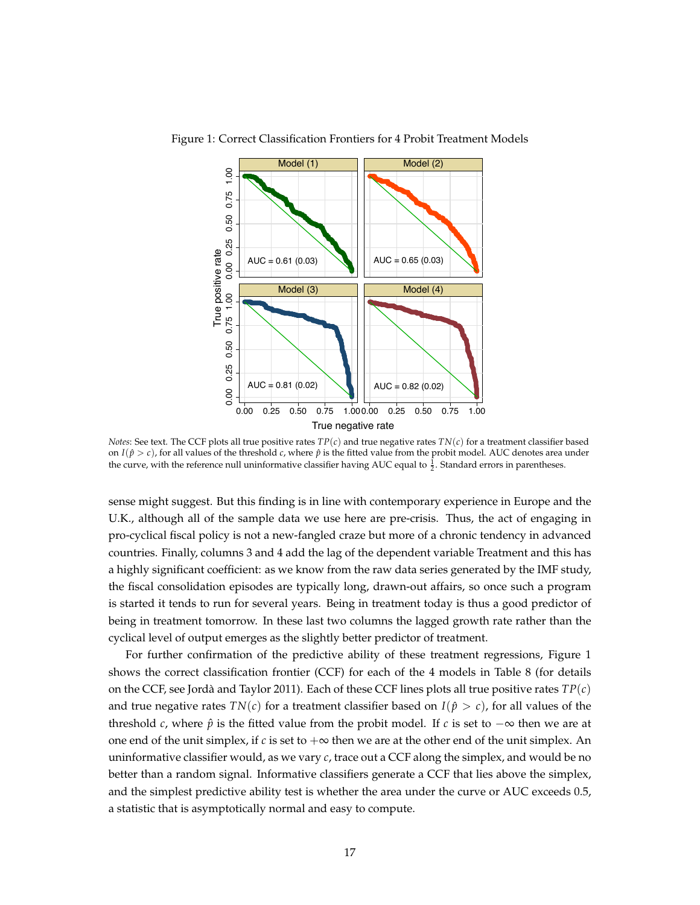

<span id="page-18-0"></span>Figure 1: Correct Classification Frontiers for 4 Probit Treatment Models

*Notes*: See text. The CCF plots all true positive rates  $TP(c)$  and true negative rates  $TN(c)$  for a treatment classifier based the curve, with the reference null uninformative classifier having AUC equal to  $\frac{1}{2}$ . Standard errors in parentheses. on  $I(\hat{p} > c)$ , for all values of the threshold *c*, where  $\hat{p}$  is the fitted value from the probit model. AUC denotes area under

sense might suggest. But this finding is in line with contemporary experience in Europe and the U.K., although all of the sample data we use here are pre-crisis. Thus, the act of engaging in pro-cyclical fiscal policy is not a new-fangled craze but more of a chronic tendency in advanced countries. Finally, columns 3 and 4 add the lag of the dependent variable Treatment and this has a highly significant coefficient: as we know from the raw data series generated by the IMF study, the fiscal consolidation episodes are typically long, drawn-out affairs, so once such a program is started it tends to run for several years. Being in treatment today is thus a good predictor of being in treatment tomorrow. In these last two columns the lagged growth rate rather than the cyclical level of output emerges as the slightly better predictor of treatment.

For further confirmation of the predictive ability of these treatment regressions, Figure [1](#page-18-0) shows the correct classification frontier (CCF) for each of the 4 models in Table [8](#page-17-0) (for details on the CCF, see Jordà and Taylor 2011). Each of these CCF lines plots all true positive rates  $TP(c)$ and true negative rates  $TN(c)$  for a treatment classifier based on  $I(\hat{p} > c)$ , for all values of the threshold *c*, where  $\hat{p}$  is the fitted value from the probit model. If *c* is set to  $-\infty$  then we are at one end of the unit simplex, if *c* is set to  $+\infty$  then we are at the other end of the unit simplex. An uninformative classifier would, as we vary *c*, trace out a CCF along the simplex, and would be no better than a random signal. Informative classifiers generate a CCF that lies above the simplex, and the simplest predictive ability test is whether the area under the curve or AUC exceeds 0.5, a statistic that is asymptotically normal and easy to compute.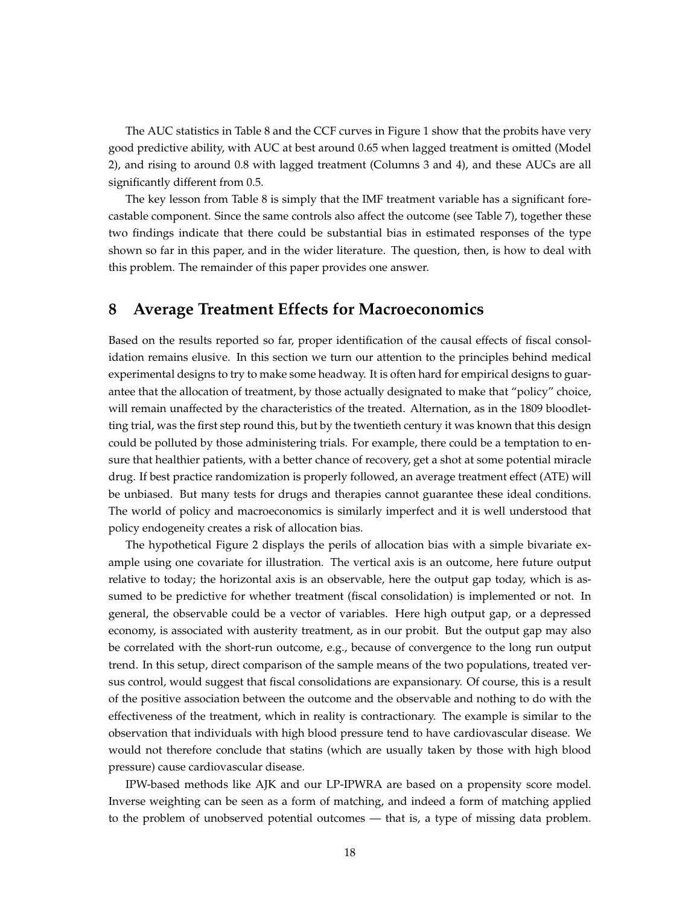The AUC statistics in Table [8](#page-17-0) and the CCF curves in Figure [1](#page-18-0) show that the probits have very good predictive ability, with AUC at best around 0.65 when lagged treatment is omitted (Model 2), and rising to around 0.8 with lagged treatment (Columns 3 and 4), and these AUCs are all significantly different from 0.5.

The key lesson from Table [8](#page-17-0) is simply that the IMF treatment variable has a significant forecastable component. Since the same controls also affect the outcome (see Table [7\)](#page-16-1), together these two findings indicate that there could be substantial bias in estimated responses of the type shown so far in this paper, and in the wider literature. The question, then, is how to deal with this problem. The remainder of this paper provides one answer.

#### **8 Average Treatment Effects for Macroeconomics**

Based on the results reported so far, proper identification of the causal effects of fiscal consolidation remains elusive. In this section we turn our attention to the principles behind medical experimental designs to try to make some headway. It is often hard for empirical designs to guarantee that the allocation of treatment, by those actually designated to make that "policy" choice, will remain unaffected by the characteristics of the treated. Alternation, as in the 1809 bloodletting trial, was the first step round this, but by the twentieth century it was known that this design could be polluted by those administering trials. For example, there could be a temptation to ensure that healthier patients, with a better chance of recovery, get a shot at some potential miracle drug. If best practice randomization is properly followed, an average treatment effect (ATE) will be unbiased. But many tests for drugs and therapies cannot guarantee these ideal conditions. The world of policy and macroeconomics is similarly imperfect and it is well understood that policy endogeneity creates a risk of allocation bias.

The hypothetical Figure [2](#page-20-0) displays the perils of allocation bias with a simple bivariate example using one covariate for illustration. The vertical axis is an outcome, here future output relative to today; the horizontal axis is an observable, here the output gap today, which is assumed to be predictive for whether treatment (fiscal consolidation) is implemented or not. In general, the observable could be a vector of variables. Here high output gap, or a depressed economy, is associated with austerity treatment, as in our probit. But the output gap may also be correlated with the short-run outcome, e.g., because of convergence to the long run output trend. In this setup, direct comparison of the sample means of the two populations, treated versus control, would suggest that fiscal consolidations are expansionary. Of course, this is a result of the positive association between the outcome and the observable and nothing to do with the effectiveness of the treatment, which in reality is contractionary. The example is similar to the observation that individuals with high blood pressure tend to have cardiovascular disease. We would not therefore conclude that statins (which are usually taken by those with high blood pressure) cause cardiovascular disease.

IPW-based methods like AJK and our LP-IPWRA are based on a propensity score model. Inverse weighting can be seen as a form of matching, and indeed a form of matching applied to the problem of unobserved potential outcomes — that is, a type of missing data problem.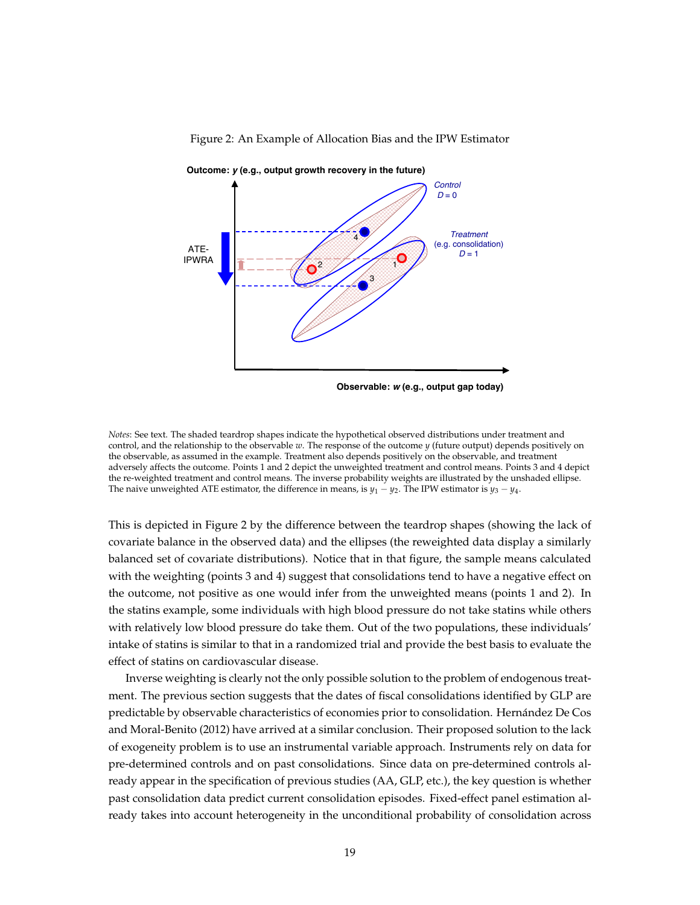

<span id="page-20-0"></span>Figure 2: An Example of Allocation Bias and the IPW Estimator

**Observable:** *w* **(e.g., output gap today)**

*Notes*: See text. The shaded teardrop shapes indicate the hypothetical observed distributions under treatment and control, and the relationship to the observable *w*. The response of the outcome *y* (future output) depends positively on the observable, as assumed in the example. Treatment also depends positively on the observable, and treatment adversely affects the outcome. Points 1 and 2 depict the unweighted treatment and control means. Points 3 and 4 depict the re-weighted treatment and control means. The inverse probability weights are illustrated by the unshaded ellipse. The naive unweighted ATE estimator, the difference in means, is  $y_1 - y_2$ . The IPW estimator is  $y_3 - y_4$ .

This is depicted in Figure [2](#page-20-0) by the difference between the teardrop shapes (showing the lack of covariate balance in the observed data) and the ellipses (the reweighted data display a similarly balanced set of covariate distributions). Notice that in that figure, the sample means calculated with the weighting (points 3 and 4) suggest that consolidations tend to have a negative effect on the outcome, not positive as one would infer from the unweighted means (points 1 and 2). In the statins example, some individuals with high blood pressure do not take statins while others with relatively low blood pressure do take them. Out of the two populations, these individuals' intake of statins is similar to that in a randomized trial and provide the best basis to evaluate the effect of statins on cardiovascular disease.

Inverse weighting is clearly not the only possible solution to the problem of endogenous treatment. The previous section suggests that the dates of fiscal consolidations identified by GLP are predictable by observable characteristics of economies prior to consolidation. Hernandez De Cos ´ and Moral-Benito (2012) have arrived at a similar conclusion. Their proposed solution to the lack of exogeneity problem is to use an instrumental variable approach. Instruments rely on data for pre-determined controls and on past consolidations. Since data on pre-determined controls already appear in the specification of previous studies (AA, GLP, etc.), the key question is whether past consolidation data predict current consolidation episodes. Fixed-effect panel estimation already takes into account heterogeneity in the unconditional probability of consolidation across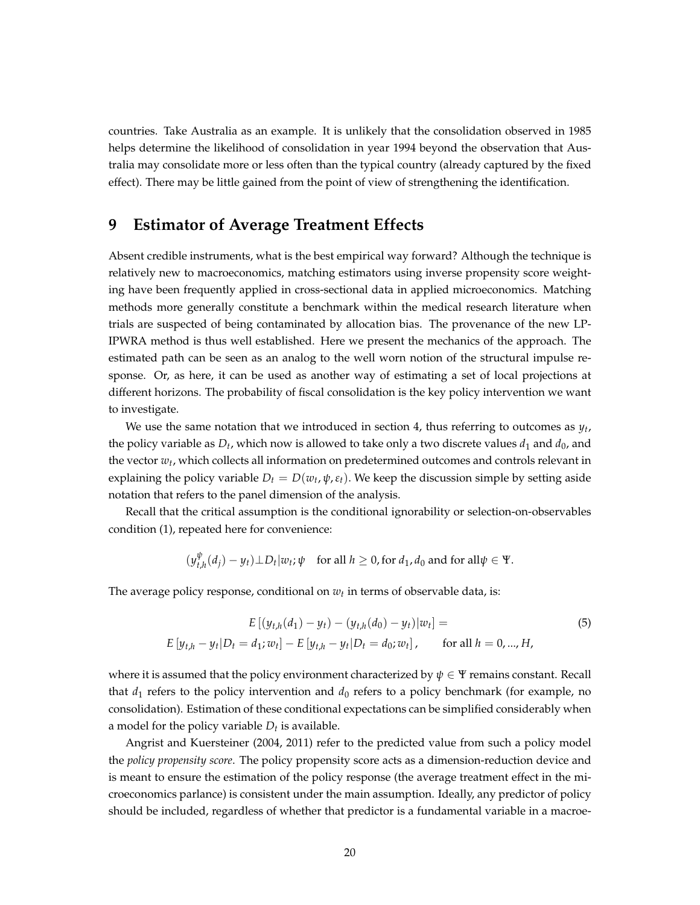countries. Take Australia as an example. It is unlikely that the consolidation observed in 1985 helps determine the likelihood of consolidation in year 1994 beyond the observation that Australia may consolidate more or less often than the typical country (already captured by the fixed effect). There may be little gained from the point of view of strengthening the identification.

## **9 Estimator of Average Treatment Effects**

Absent credible instruments, what is the best empirical way forward? Although the technique is relatively new to macroeconomics, matching estimators using inverse propensity score weighting have been frequently applied in cross-sectional data in applied microeconomics. Matching methods more generally constitute a benchmark within the medical research literature when trials are suspected of being contaminated by allocation bias. The provenance of the new LP-IPWRA method is thus well established. Here we present the mechanics of the approach. The estimated path can be seen as an analog to the well worn notion of the structural impulse response. Or, as here, it can be used as another way of estimating a set of local projections at different horizons. The probability of fiscal consolidation is the key policy intervention we want to investigate.

We use the same notation that we introduced in section [4,](#page-8-0) thus referring to outcomes as *y<sup>t</sup>* , the policy variable as  $D_t$ , which now is allowed to take only a two discrete values  $d_1$  and  $d_0$ , and the vector  $w_t$ , which collects all information on predetermined outcomes and controls relevant in explaining the policy variable  $D_t = D(w_t, \psi, \varepsilon_t)$ . We keep the discussion simple by setting aside notation that refers to the panel dimension of the analysis.

Recall that the critical assumption is the conditional ignorability or selection-on-observables condition [\(1\)](#page-9-0), repeated here for convenience:

$$
(y_{t,h}^{\psi}(d_j) - y_t) \perp D_t | w_t; \psi
$$
 for all  $h \ge 0$ , for  $d_1, d_0$  and for all  $\psi \in \Psi$ .

The average policy response, conditional on  $w_t$  in terms of observable data, is:

$$
E [(y_{t,h}(d_1) - y_t) - (y_{t,h}(d_0) - y_t)|w_t] =
$$
\n
$$
E [y_{t,h} - y_t|D_t = d_1; w_t] - E [y_{t,h} - y_t|D_t = d_0; w_t], \quad \text{for all } h = 0, ..., H,
$$
\n(5)

where it is assumed that the policy environment characterized by  $\psi \in \Psi$  remains constant. Recall that  $d_1$  refers to the policy intervention and  $d_0$  refers to a policy benchmark (for example, no consolidation). Estimation of these conditional expectations can be simplified considerably when a model for the policy variable *D<sup>t</sup>* is available.

Angrist and Kuersteiner (2004, 2011) refer to the predicted value from such a policy model the *policy propensity score*. The policy propensity score acts as a dimension-reduction device and is meant to ensure the estimation of the policy response (the average treatment effect in the microeconomics parlance) is consistent under the main assumption. Ideally, any predictor of policy should be included, regardless of whether that predictor is a fundamental variable in a macroe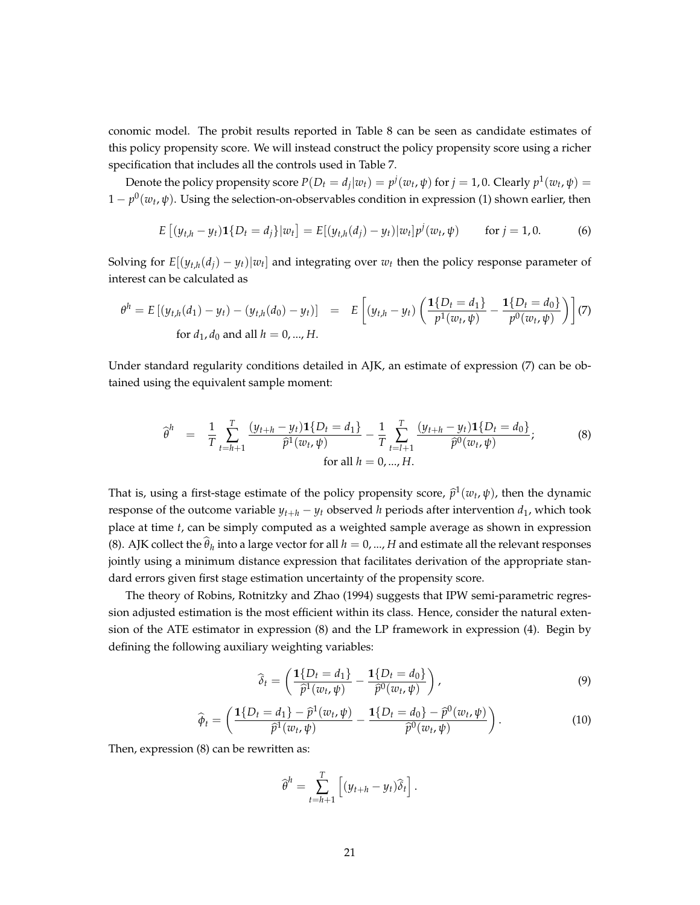conomic model. The probit results reported in Table [8](#page-17-0) can be seen as candidate estimates of this policy propensity score. We will instead construct the policy propensity score using a richer specification that includes all the controls used in Table [7.](#page-16-1)

Denote the policy propensity score  $P(D_t = d_j | w_t) = p^j(w_t, \psi)$  for  $j = 1, 0$ . Clearly  $p^1(w_t, \psi) = p^j(w_t, \psi)$ 1 − *p* 0 (*w<sup>t</sup>* , *ψ*). Using the selection-on-observables condition in expression [\(1\)](#page-9-0) shown earlier, then

$$
E [(y_{t,h} - y_t) \mathbf{1} \{D_t = d_j\} | w_t] = E [(y_{t,h}(d_j) - y_t) | w_t] p^j (w_t, \psi) \quad \text{for } j = 1, 0. \tag{6}
$$

Solving for  $E[(y_{t,h}(d_j) - y_t)|w_t]$  and integrating over  $w_t$  then the policy response parameter of interest can be calculated as

<span id="page-22-0"></span>
$$
\theta^{h} = E\left[\left(y_{t,h}(d_{1}) - y_{t}\right) - \left(y_{t,h}(d_{0}) - y_{t}\right)\right] = E\left[\left(y_{t,h} - y_{t}\right)\left(\frac{\mathbf{1}\{D_{t} = d_{1}\}}{p^{1}(w_{t}, \psi)} - \frac{\mathbf{1}\{D_{t} = d_{0}\}}{p^{0}(w_{t}, \psi)}\right)\right](7)
$$
\n
$$
\text{for } d_{1}, d_{0} \text{ and all } h = 0, ..., H.
$$

Under standard regularity conditions detailed in AJK, an estimate of expression [\(7\)](#page-22-0) can be obtained using the equivalent sample moment:

<span id="page-22-1"></span>
$$
\widehat{\theta}^h = \frac{1}{T} \sum_{t=h+1}^T \frac{(y_{t+h} - y_t) \mathbf{1} \{ D_t = d_1 \}}{\widehat{p}^1(w_t, \psi)} - \frac{1}{T} \sum_{t=l+1}^T \frac{(y_{t+h} - y_t) \mathbf{1} \{ D_t = d_0 \}}{\widehat{p}^0(w_t, \psi)};
$$
\n(8)

\nfor all  $h = 0, ..., H$ .

That is, using a first-stage estimate of the policy propensity score,  $\hat{p}^1(w_t, \psi)$ , then the dynamic response of the outcome variable  $y_{t+h} - y_t$  observed *h* periods after intervention  $d_1$ , which took place at time *t*, can be simply computed as a weighted sample average as shown in expression [\(8\)](#page-22-1). AJK collect the  $\hat{\theta}_h$  into a large vector for all  $h = 0, ..., H$  and estimate all the relevant responses jointly using a minimum distance expression that facilitates derivation of the appropriate standard errors given first stage estimation uncertainty of the propensity score.

The theory of Robins, Rotnitzky and Zhao (1994) suggests that IPW semi-parametric regression adjusted estimation is the most efficient within its class. Hence, consider the natural extension of the ATE estimator in expression [\(8\)](#page-22-1) and the LP framework in expression [\(4\)](#page-10-1). Begin by defining the following auxiliary weighting variables:

$$
\widehat{\delta}_t = \left(\frac{\mathbf{1}\{D_t = d_1\}}{\widehat{p}^1(w_t, \psi)} - \frac{\mathbf{1}\{D_t = d_0\}}{\widehat{p}^0(w_t, \psi)}\right),\tag{9}
$$

$$
\widehat{\phi}_t = \left(\frac{\mathbf{1}\{D_t = d_1\} - \widehat{p}^1(w_t, \psi)}{\widehat{p}^1(w_t, \psi)} - \frac{\mathbf{1}\{D_t = d_0\} - \widehat{p}^0(w_t, \psi)}{\widehat{p}^0(w_t, \psi)}\right). \tag{10}
$$

Then, expression [\(8\)](#page-22-1) can be rewritten as:

<span id="page-22-2"></span>
$$
\widehat{\theta}^h = \sum_{t=h+1}^T \left[ (y_{t+h} - y_t) \widehat{\delta}_t \right].
$$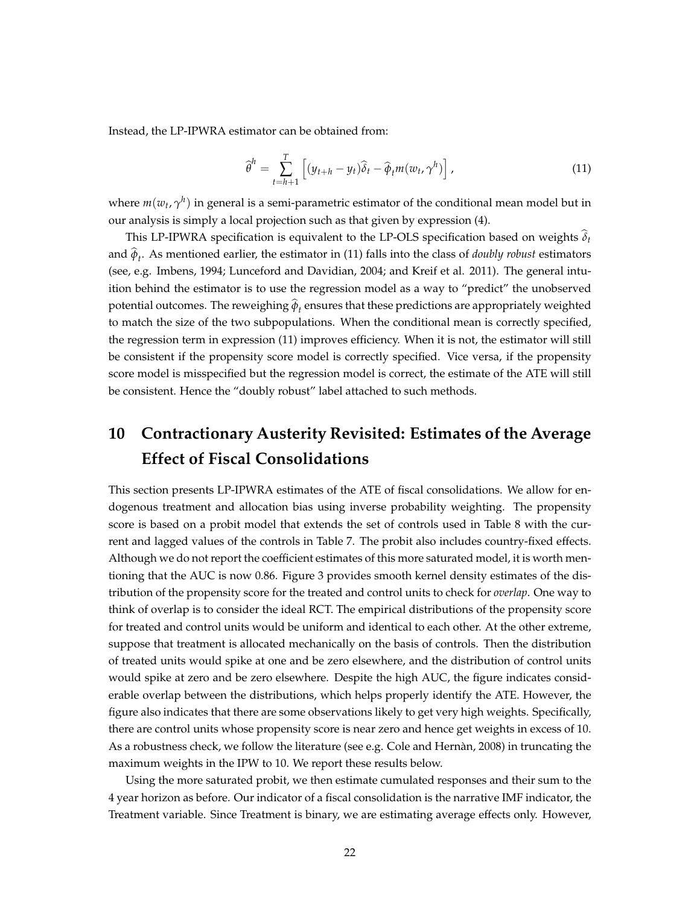Instead, the LP-IPWRA estimator can be obtained from:

$$
\widehat{\boldsymbol{\theta}}^h = \sum_{t=h+1}^T \left[ (y_{t+h} - y_t) \widehat{\delta}_t - \widehat{\boldsymbol{\phi}}_t m(w_t, \gamma^h) \right], \tag{11}
$$

where  $m(w_t, \gamma^h)$  in general is a semi-parametric estimator of the conditional mean model but in our analysis is simply a local projection such as that given by expression [\(4\)](#page-10-1).

This LP-IPWRA specification is equivalent to the LP-OLS specification based on weights b*δ<sup>t</sup>* and  $\phi_t$ . As mentioned earlier, the estimator in [\(11\)](#page-22-2) falls into the class of *doubly robust* estimators (see, e.g. Imbens, 1994; Lunceford and Davidian, 2004; and Kreif et al. 2011). The general intuition behind the estimator is to use the regression model as a way to "predict" the unobserved potential outcomes. The reweighing  $\phi_t$  ensures that these predictions are appropriately weighted to match the size of the two subpopulations. When the conditional mean is correctly specified, the regression term in expression [\(11\)](#page-22-2) improves efficiency. When it is not, the estimator will still be consistent if the propensity score model is correctly specified. Vice versa, if the propensity score model is misspecified but the regression model is correct, the estimate of the ATE will still be consistent. Hence the "doubly robust" label attached to such methods.

# **10 Contractionary Austerity Revisited: Estimates of the Average Effect of Fiscal Consolidations**

This section presents LP-IPWRA estimates of the ATE of fiscal consolidations. We allow for endogenous treatment and allocation bias using inverse probability weighting. The propensity score is based on a probit model that extends the set of controls used in Table [8](#page-17-0) with the current and lagged values of the controls in Table [7.](#page-16-1) The probit also includes country-fixed effects. Although we do not report the coefficient estimates of this more saturated model, it is worth mentioning that the AUC is now 0.86. Figure [3](#page-24-0) provides smooth kernel density estimates of the distribution of the propensity score for the treated and control units to check for *overlap*. One way to think of overlap is to consider the ideal RCT. The empirical distributions of the propensity score for treated and control units would be uniform and identical to each other. At the other extreme, suppose that treatment is allocated mechanically on the basis of controls. Then the distribution of treated units would spike at one and be zero elsewhere, and the distribution of control units would spike at zero and be zero elsewhere. Despite the high AUC, the figure indicates considerable overlap between the distributions, which helps properly identify the ATE. However, the figure also indicates that there are some observations likely to get very high weights. Specifically, there are control units whose propensity score is near zero and hence get weights in excess of 10. As a robustness check, we follow the literature (see e.g. Cole and Hernan, 2008) in truncating the maximum weights in the IPW to 10. We report these results below.

Using the more saturated probit, we then estimate cumulated responses and their sum to the 4 year horizon as before. Our indicator of a fiscal consolidation is the narrative IMF indicator, the Treatment variable. Since Treatment is binary, we are estimating average effects only. However,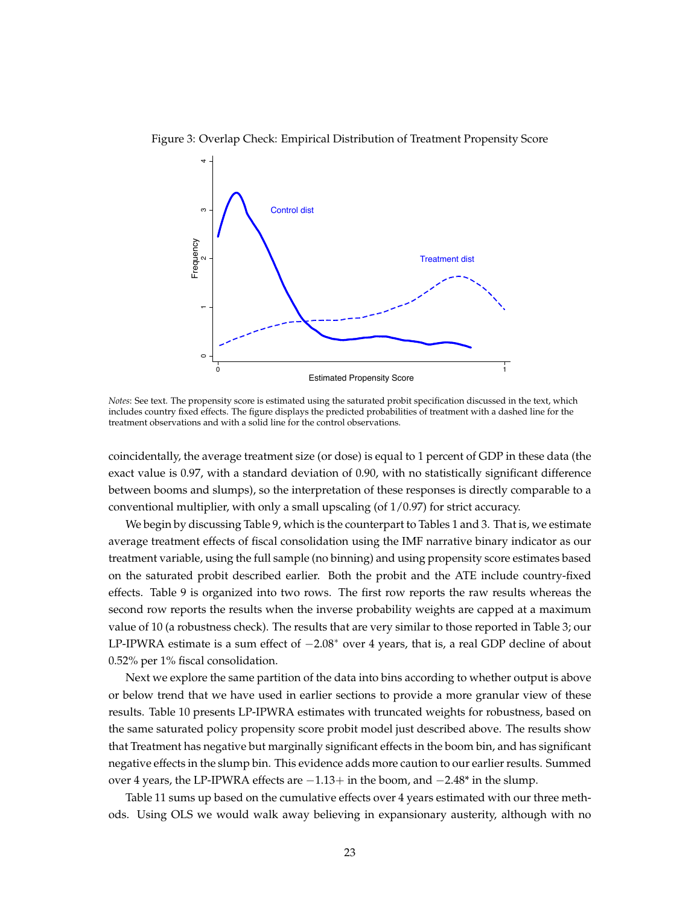

<span id="page-24-0"></span>Figure 3: Overlap Check: Empirical Distribution of Treatment Propensity Score

*Notes*: See text. The propensity score is estimated using the saturated probit specification discussed in the text, which includes country fixed effects. The figure displays the predicted probabilities of treatment with a dashed line for the treatment observations and with a solid line for the control observations.

coincidentally, the average treatment size (or dose) is equal to 1 percent of GDP in these data (the exact value is 0.97, with a standard deviation of 0.90, with no statistically significant difference between booms and slumps), so the interpretation of these responses is directly comparable to a conventional multiplier, with only a small upscaling (of  $1/0.97$ ) for strict accuracy.

We begin by discussing Table [9,](#page-25-0) which is the counterpart to Tables [1](#page-11-0) and [3.](#page-14-0) That is, we estimate average treatment effects of fiscal consolidation using the IMF narrative binary indicator as our treatment variable, using the full sample (no binning) and using propensity score estimates based on the saturated probit described earlier. Both the probit and the ATE include country-fixed effects. Table [9](#page-25-0) is organized into two rows. The first row reports the raw results whereas the second row reports the results when the inverse probability weights are capped at a maximum value of 10 (a robustness check). The results that are very similar to those reported in Table [3;](#page-14-0) our LP-IPWRA estimate is a sum effect of −2.08<sup>∗</sup> over 4 years, that is, a real GDP decline of about 0.52% per 1% fiscal consolidation.

Next we explore the same partition of the data into bins according to whether output is above or below trend that we have used in earlier sections to provide a more granular view of these results. Table [10](#page-25-1) presents LP-IPWRA estimates with truncated weights for robustness, based on the same saturated policy propensity score probit model just described above. The results show that Treatment has negative but marginally significant effects in the boom bin, and has significant negative effects in the slump bin. This evidence adds more caution to our earlier results. Summed over 4 years, the LP-IPWRA effects are −1.13+ in the boom, and −2.48\* in the slump.

Table [11](#page-26-0) sums up based on the cumulative effects over 4 years estimated with our three methods. Using OLS we would walk away believing in expansionary austerity, although with no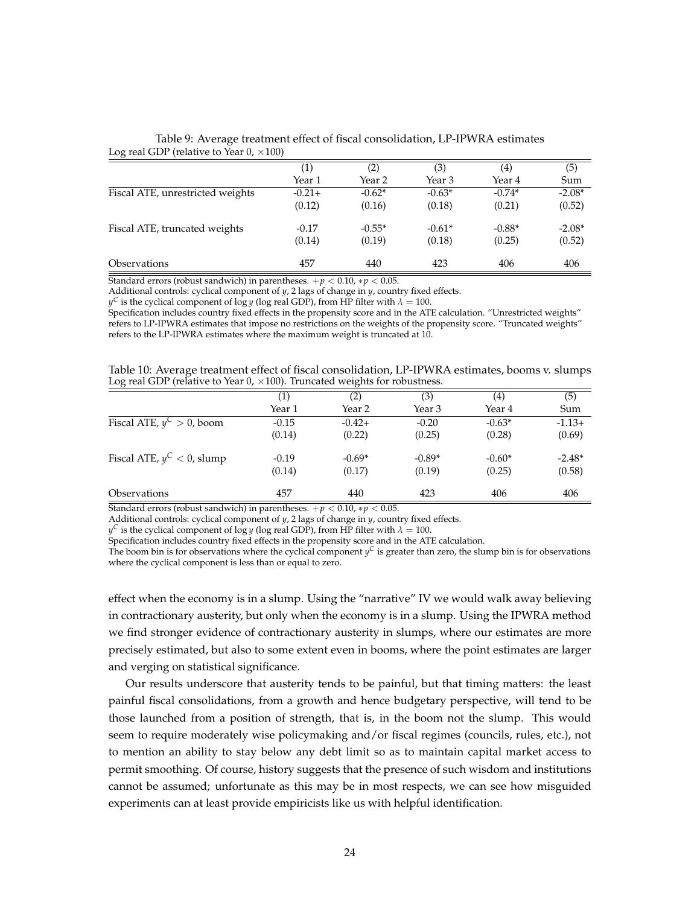|                                  | $\left( 1\right)$ | (2)      | (3)      | (4)      | (5)      |
|----------------------------------|-------------------|----------|----------|----------|----------|
|                                  | Year 1            | Year 2   | Year 3   | Year 4   | Sum      |
| Fiscal ATE, unrestricted weights | $-0.21+$          | $-0.62*$ | $-0.63*$ | $-0.74*$ | $-2.08*$ |
|                                  | (0.12)            | (0.16)   | (0.18)   | (0.21)   | (0.52)   |
| Fiscal ATE, truncated weights    | $-0.17$           | $-0.55*$ | $-0.61*$ | $-0.88*$ | $-2.08*$ |
|                                  | (0.14)            | (0.19)   | (0.18)   | (0.25)   | (0.52)   |
| <i><b>Observations</b></i>       | 457               | 440      | 423      | 406      | 406      |

<span id="page-25-0"></span>Table 9: Average treatment effect of fiscal consolidation, LP-IPWRA estimates Log real GDP (relative to Year  $0. \times 100$ )

Standard errors (robust sandwich) in parentheses.  $+p < 0.10$ ,  $*p < 0.05$ .

Additional controls: cyclical component of *y*, 2 lags of change in *y*, country fixed effects.

 $y^C$  is the cyclical component of log *y* (log real GDP), from HP filter with  $\lambda = 100$ .

Specification includes country fixed effects in the propensity score and in the ATE calculation. "Unrestricted weights" refers to LP-IPWRA estimates that impose no restrictions on the weights of the propensity score. "Truncated weights" refers to the LP-IPWRA estimates where the maximum weight is truncated at 10.

<span id="page-25-1"></span>Table 10: Average treatment effect of fiscal consolidation, LP-IPWRA estimates, booms v. slumps Log real GDP (relative to Year 0,  $\times$ 100). Truncated weights for robustness.

|                               | $\left( 1\right)$ | (2)      | (3)      | (4)      | (5)      |
|-------------------------------|-------------------|----------|----------|----------|----------|
|                               | Year 1            | Year 2   | Year 3   | Year 4   | Sum      |
| Fiscal ATE, $y^C > 0$ , boom  | $-0.15$           | $-0.42+$ | $-0.20$  | $-0.63*$ | $-1.13+$ |
|                               | (0.14)            | (0.22)   | (0.25)   | (0.28)   | (0.69)   |
| Fiscal ATE, $y^C < 0$ , slump | $-0.19$           | $-0.69*$ | $-0.89*$ | $-0.60*$ | $-2.48*$ |
|                               | (0.14)            | (0.17)   | (0.19)   | (0.25)   | (0.58)   |
| <i><b>Observations</b></i>    | 457               | 440      | 423      | 406      | 406      |

Standard errors (robust sandwich) in parentheses.  $+p < 0.10$ ,  $*p < 0.05$ .

Additional controls: cyclical component of *y*, 2 lags of change in *y*, country fixed effects.

 $y^C$  is the cyclical component of log *y* (log real GDP), from HP filter with  $\lambda = 100$ .

Specification includes country fixed effects in the propensity score and in the ATE calculation.

The boom bin is for observations where the cyclical component  $y^C$  is greater than zero, the slump bin is for observations where the cyclical component is less than or equal to zero.

effect when the economy is in a slump. Using the "narrative" IV we would walk away believing in contractionary austerity, but only when the economy is in a slump. Using the IPWRA method we find stronger evidence of contractionary austerity in slumps, where our estimates are more precisely estimated, but also to some extent even in booms, where the point estimates are larger and verging on statistical significance.

Our results underscore that austerity tends to be painful, but that timing matters: the least painful fiscal consolidations, from a growth and hence budgetary perspective, will tend to be those launched from a position of strength, that is, in the boom not the slump. This would seem to require moderately wise policymaking and/or fiscal regimes (councils, rules, etc.), not to mention an ability to stay below any debt limit so as to maintain capital market access to permit smoothing. Of course, history suggests that the presence of such wisdom and institutions cannot be assumed; unfortunate as this may be in most respects, we can see how misguided experiments can at least provide empiricists like us with helpful identification.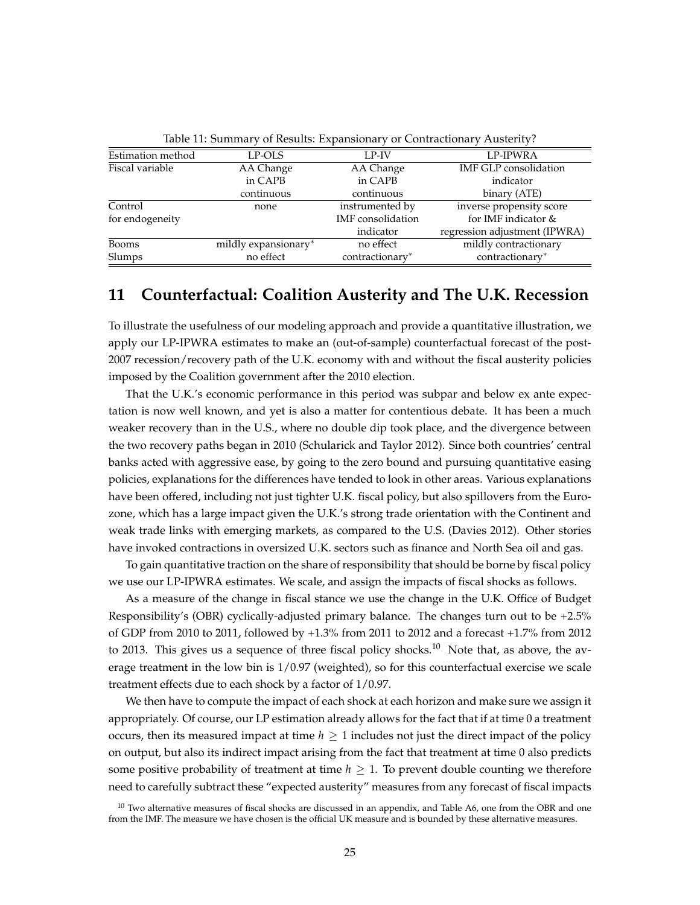<span id="page-26-0"></span>

| racie III cammany of Resales. Expansionally of Contractionally frastefly: |                      |                   |                               |  |  |  |
|---------------------------------------------------------------------------|----------------------|-------------------|-------------------------------|--|--|--|
| Estimation method                                                         | LP-OLS               | LP-IV             | LP-IPWRA                      |  |  |  |
| Fiscal variable                                                           | AA Change            | AA Change         | IMF GLP consolidation         |  |  |  |
|                                                                           | in CAPB              | in CAPB           | indicator                     |  |  |  |
|                                                                           | continuous           | continuous        | binary (ATE)                  |  |  |  |
| Control                                                                   | none                 | instrumented by   | inverse propensity score      |  |  |  |
| for endogeneity                                                           |                      | IMF consolidation | for IMF indicator &           |  |  |  |
|                                                                           |                      | indicator         | regression adjustment (IPWRA) |  |  |  |
| Booms                                                                     | mildly expansionary* | no effect         | mildly contractionary         |  |  |  |
| Slumps                                                                    | no effect            | contractionary*   | contractionary*               |  |  |  |

Table 11: Summary of Results: Expansionary or Contractionary Austerity?

### **11 Counterfactual: Coalition Austerity and The U.K. Recession**

To illustrate the usefulness of our modeling approach and provide a quantitative illustration, we apply our LP-IPWRA estimates to make an (out-of-sample) counterfactual forecast of the post-2007 recession/recovery path of the U.K. economy with and without the fiscal austerity policies imposed by the Coalition government after the 2010 election.

That the U.K.'s economic performance in this period was subpar and below ex ante expectation is now well known, and yet is also a matter for contentious debate. It has been a much weaker recovery than in the U.S., where no double dip took place, and the divergence between the two recovery paths began in 2010 (Schularick and Taylor 2012). Since both countries' central banks acted with aggressive ease, by going to the zero bound and pursuing quantitative easing policies, explanations for the differences have tended to look in other areas. Various explanations have been offered, including not just tighter U.K. fiscal policy, but also spillovers from the Eurozone, which has a large impact given the U.K.'s strong trade orientation with the Continent and weak trade links with emerging markets, as compared to the U.S. (Davies 2012). Other stories have invoked contractions in oversized U.K. sectors such as finance and North Sea oil and gas.

To gain quantitative traction on the share of responsibility that should be borne by fiscal policy we use our LP-IPWRA estimates. We scale, and assign the impacts of fiscal shocks as follows.

As a measure of the change in fiscal stance we use the change in the U.K. Office of Budget Responsibility's (OBR) cyclically-adjusted primary balance. The changes turn out to be +2.5% of GDP from 2010 to 2011, followed by +1.3% from 2011 to 2012 and a forecast +1.7% from 2012 to 2013. This gives us a sequence of three fiscal policy shocks.<sup>[10](#page-26-1)</sup> Note that, as above, the average treatment in the low bin is 1/0.97 (weighted), so for this counterfactual exercise we scale treatment effects due to each shock by a factor of 1/0.97.

We then have to compute the impact of each shock at each horizon and make sure we assign it appropriately. Of course, our LP estimation already allows for the fact that if at time 0 a treatment occurs, then its measured impact at time  $h \geq 1$  includes not just the direct impact of the policy on output, but also its indirect impact arising from the fact that treatment at time 0 also predicts some positive probability of treatment at time  $h \geq 1$ . To prevent double counting we therefore need to carefully subtract these "expected austerity" measures from any forecast of fiscal impacts

<span id="page-26-1"></span> $10$  Two alternative measures of fiscal shocks are discussed in an appendix, and Table A6, one from the OBR and one from the IMF. The measure we have chosen is the official UK measure and is bounded by these alternative measures.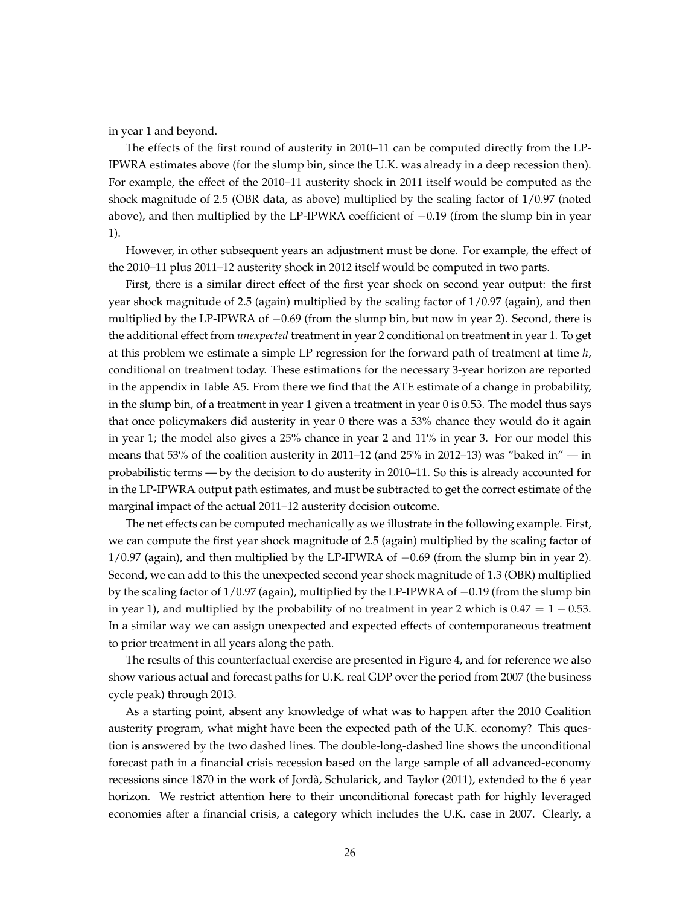in year 1 and beyond.

The effects of the first round of austerity in 2010–11 can be computed directly from the LP-IPWRA estimates above (for the slump bin, since the U.K. was already in a deep recession then). For example, the effect of the 2010–11 austerity shock in 2011 itself would be computed as the shock magnitude of 2.5 (OBR data, as above) multiplied by the scaling factor of 1/0.97 (noted above), and then multiplied by the LP-IPWRA coefficient of −0.19 (from the slump bin in year 1).

However, in other subsequent years an adjustment must be done. For example, the effect of the 2010–11 plus 2011–12 austerity shock in 2012 itself would be computed in two parts.

First, there is a similar direct effect of the first year shock on second year output: the first year shock magnitude of 2.5 (again) multiplied by the scaling factor of 1/0.97 (again), and then multiplied by the LP-IPWRA of −0.69 (from the slump bin, but now in year 2). Second, there is the additional effect from *unexpected* treatment in year 2 conditional on treatment in year 1. To get at this problem we estimate a simple LP regression for the forward path of treatment at time *h*, conditional on treatment today. These estimations for the necessary 3-year horizon are reported in the appendix in Table A5. From there we find that the ATE estimate of a change in probability, in the slump bin, of a treatment in year 1 given a treatment in year 0 is 0.53. The model thus says that once policymakers did austerity in year 0 there was a 53% chance they would do it again in year 1; the model also gives a 25% chance in year 2 and 11% in year 3. For our model this means that 53% of the coalition austerity in 2011–12 (and 25% in 2012–13) was "baked in" — in probabilistic terms — by the decision to do austerity in 2010–11. So this is already accounted for in the LP-IPWRA output path estimates, and must be subtracted to get the correct estimate of the marginal impact of the actual 2011–12 austerity decision outcome.

The net effects can be computed mechanically as we illustrate in the following example. First, we can compute the first year shock magnitude of 2.5 (again) multiplied by the scaling factor of 1/0.97 (again), and then multiplied by the LP-IPWRA of −0.69 (from the slump bin in year 2). Second, we can add to this the unexpected second year shock magnitude of 1.3 (OBR) multiplied by the scaling factor of 1/0.97 (again), multiplied by the LP-IPWRA of −0.19 (from the slump bin in year 1), and multiplied by the probability of no treatment in year 2 which is  $0.47 = 1 - 0.53$ . In a similar way we can assign unexpected and expected effects of contemporaneous treatment to prior treatment in all years along the path.

The results of this counterfactual exercise are presented in Figure [4,](#page-28-0) and for reference we also show various actual and forecast paths for U.K. real GDP over the period from 2007 (the business cycle peak) through 2013.

As a starting point, absent any knowledge of what was to happen after the 2010 Coalition austerity program, what might have been the expected path of the U.K. economy? This question is answered by the two dashed lines. The double-long-dashed line shows the unconditional forecast path in a financial crisis recession based on the large sample of all advanced-economy recessions since 1870 in the work of Jorda, Schularick, and Taylor (2011), extended to the 6 year ` horizon. We restrict attention here to their unconditional forecast path for highly leveraged economies after a financial crisis, a category which includes the U.K. case in 2007. Clearly, a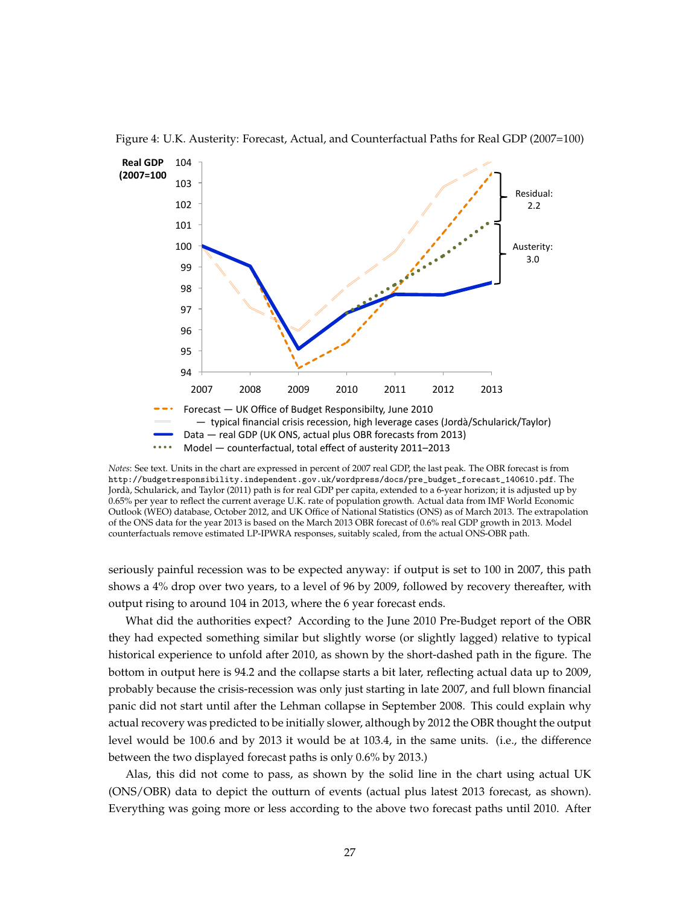

<span id="page-28-0"></span>Figure 4: U.K. Austerity: Forecast, Actual, and Counterfactual Paths for Real GDP (2007=100)

*Notes*: See text. Units in the chart are expressed in percent of 2007 real GDP, the last peak. The OBR forecast is from [http://budgetresponsibility.independent.gov.uk/wordpress/docs/pre\\_budget\\_forecast\\_140610.pdf](http://budgetresponsibility.independent.gov.uk/wordpress/docs/pre_budget_forecast_140610.pdf). The Jorda, Schularick, and Taylor (2011) path is for real GDP per capita, extended to a 6-year horizon; it is adjusted up by ` 0.65% per year to reflect the current average U.K. rate of population growth. Actual data from IMF World Economic Outlook (WEO) database, October 2012, and UK Office of National Statistics (ONS) as of March 2013. The extrapolation of the ONS data for the year 2013 is based on the March 2013 OBR forecast of 0.6% real GDP growth in 2013. Model counterfactuals remove estimated LP-IPWRA responses, suitably scaled, from the actual ONS-OBR path.

seriously painful recession was to be expected anyway: if output is set to 100 in 2007, this path shows a 4% drop over two years, to a level of 96 by 2009, followed by recovery thereafter, with output rising to around 104 in 2013, where the 6 year forecast ends.

What did the authorities expect? According to the June 2010 Pre-Budget report of the OBR they had expected something similar but slightly worse (or slightly lagged) relative to typical historical experience to unfold after 2010, as shown by the short-dashed path in the figure. The bottom in output here is 94.2 and the collapse starts a bit later, reflecting actual data up to 2009, probably because the crisis-recession was only just starting in late 2007, and full blown financial panic did not start until after the Lehman collapse in September 2008. This could explain why actual recovery was predicted to be initially slower, although by 2012 the OBR thought the output level would be 100.6 and by 2013 it would be at 103.4, in the same units. (i.e., the difference between the two displayed forecast paths is only 0.6% by 2013.)

Alas, this did not come to pass, as shown by the solid line in the chart using actual UK (ONS/OBR) data to depict the outturn of events (actual plus latest 2013 forecast, as shown). Everything was going more or less according to the above two forecast paths until 2010. After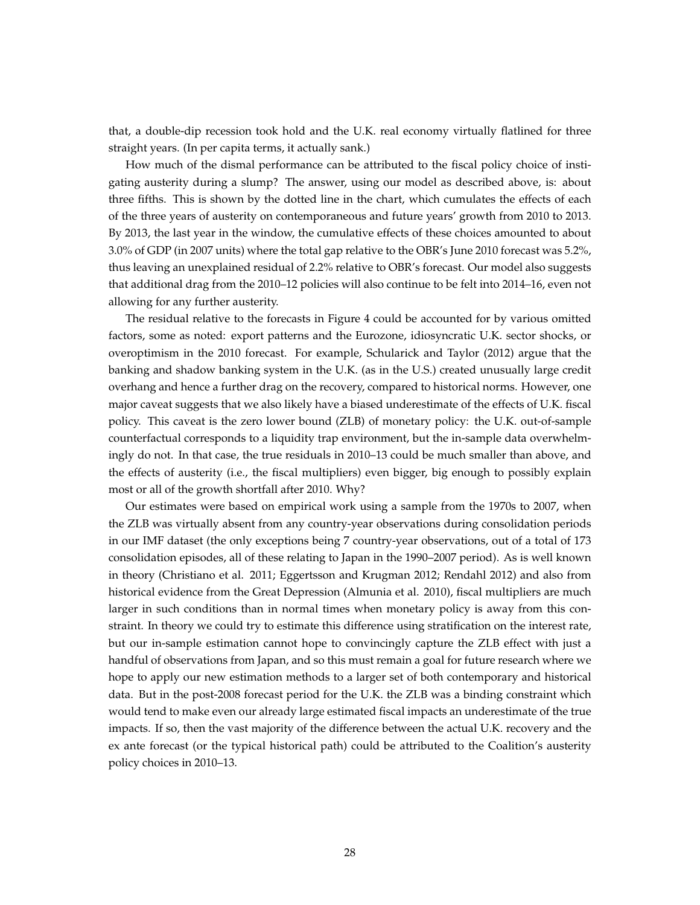that, a double-dip recession took hold and the U.K. real economy virtually flatlined for three straight years. (In per capita terms, it actually sank.)

How much of the dismal performance can be attributed to the fiscal policy choice of instigating austerity during a slump? The answer, using our model as described above, is: about three fifths. This is shown by the dotted line in the chart, which cumulates the effects of each of the three years of austerity on contemporaneous and future years' growth from 2010 to 2013. By 2013, the last year in the window, the cumulative effects of these choices amounted to about 3.0% of GDP (in 2007 units) where the total gap relative to the OBR's June 2010 forecast was 5.2%, thus leaving an unexplained residual of 2.2% relative to OBR's forecast. Our model also suggests that additional drag from the 2010–12 policies will also continue to be felt into 2014–16, even not allowing for any further austerity.

The residual relative to the forecasts in Figure [4](#page-28-0) could be accounted for by various omitted factors, some as noted: export patterns and the Eurozone, idiosyncratic U.K. sector shocks, or overoptimism in the 2010 forecast. For example, Schularick and Taylor (2012) argue that the banking and shadow banking system in the U.K. (as in the U.S.) created unusually large credit overhang and hence a further drag on the recovery, compared to historical norms. However, one major caveat suggests that we also likely have a biased underestimate of the effects of U.K. fiscal policy. This caveat is the zero lower bound (ZLB) of monetary policy: the U.K. out-of-sample counterfactual corresponds to a liquidity trap environment, but the in-sample data overwhelmingly do not. In that case, the true residuals in 2010–13 could be much smaller than above, and the effects of austerity (i.e., the fiscal multipliers) even bigger, big enough to possibly explain most or all of the growth shortfall after 2010. Why?

Our estimates were based on empirical work using a sample from the 1970s to 2007, when the ZLB was virtually absent from any country-year observations during consolidation periods in our IMF dataset (the only exceptions being 7 country-year observations, out of a total of 173 consolidation episodes, all of these relating to Japan in the 1990–2007 period). As is well known in theory (Christiano et al. 2011; Eggertsson and Krugman 2012; Rendahl 2012) and also from historical evidence from the Great Depression (Almunia et al. 2010), fiscal multipliers are much larger in such conditions than in normal times when monetary policy is away from this constraint. In theory we could try to estimate this difference using stratification on the interest rate, but our in-sample estimation cannot hope to convincingly capture the ZLB effect with just a handful of observations from Japan, and so this must remain a goal for future research where we hope to apply our new estimation methods to a larger set of both contemporary and historical data. But in the post-2008 forecast period for the U.K. the ZLB was a binding constraint which would tend to make even our already large estimated fiscal impacts an underestimate of the true impacts. If so, then the vast majority of the difference between the actual U.K. recovery and the ex ante forecast (or the typical historical path) could be attributed to the Coalition's austerity policy choices in 2010–13.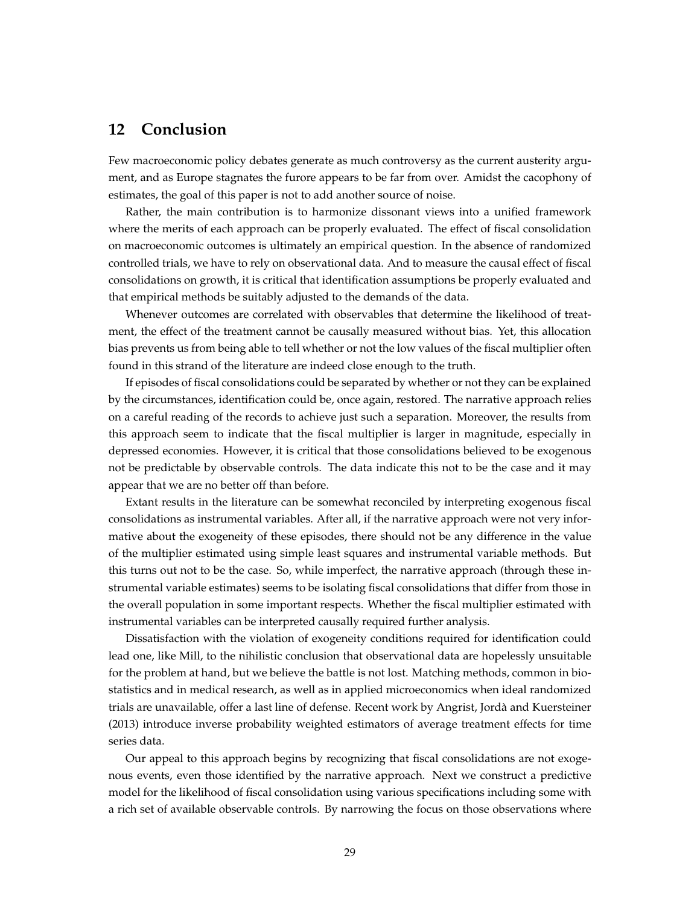## **12 Conclusion**

Few macroeconomic policy debates generate as much controversy as the current austerity argument, and as Europe stagnates the furore appears to be far from over. Amidst the cacophony of estimates, the goal of this paper is not to add another source of noise.

Rather, the main contribution is to harmonize dissonant views into a unified framework where the merits of each approach can be properly evaluated. The effect of fiscal consolidation on macroeconomic outcomes is ultimately an empirical question. In the absence of randomized controlled trials, we have to rely on observational data. And to measure the causal effect of fiscal consolidations on growth, it is critical that identification assumptions be properly evaluated and that empirical methods be suitably adjusted to the demands of the data.

Whenever outcomes are correlated with observables that determine the likelihood of treatment, the effect of the treatment cannot be causally measured without bias. Yet, this allocation bias prevents us from being able to tell whether or not the low values of the fiscal multiplier often found in this strand of the literature are indeed close enough to the truth.

If episodes of fiscal consolidations could be separated by whether or not they can be explained by the circumstances, identification could be, once again, restored. The narrative approach relies on a careful reading of the records to achieve just such a separation. Moreover, the results from this approach seem to indicate that the fiscal multiplier is larger in magnitude, especially in depressed economies. However, it is critical that those consolidations believed to be exogenous not be predictable by observable controls. The data indicate this not to be the case and it may appear that we are no better off than before.

Extant results in the literature can be somewhat reconciled by interpreting exogenous fiscal consolidations as instrumental variables. After all, if the narrative approach were not very informative about the exogeneity of these episodes, there should not be any difference in the value of the multiplier estimated using simple least squares and instrumental variable methods. But this turns out not to be the case. So, while imperfect, the narrative approach (through these instrumental variable estimates) seems to be isolating fiscal consolidations that differ from those in the overall population in some important respects. Whether the fiscal multiplier estimated with instrumental variables can be interpreted causally required further analysis.

Dissatisfaction with the violation of exogeneity conditions required for identification could lead one, like Mill, to the nihilistic conclusion that observational data are hopelessly unsuitable for the problem at hand, but we believe the battle is not lost. Matching methods, common in biostatistics and in medical research, as well as in applied microeconomics when ideal randomized trials are unavailable, offer a last line of defense. Recent work by Angrist, Jorda and Kuersteiner ` (2013) introduce inverse probability weighted estimators of average treatment effects for time series data.

Our appeal to this approach begins by recognizing that fiscal consolidations are not exogenous events, even those identified by the narrative approach. Next we construct a predictive model for the likelihood of fiscal consolidation using various specifications including some with a rich set of available observable controls. By narrowing the focus on those observations where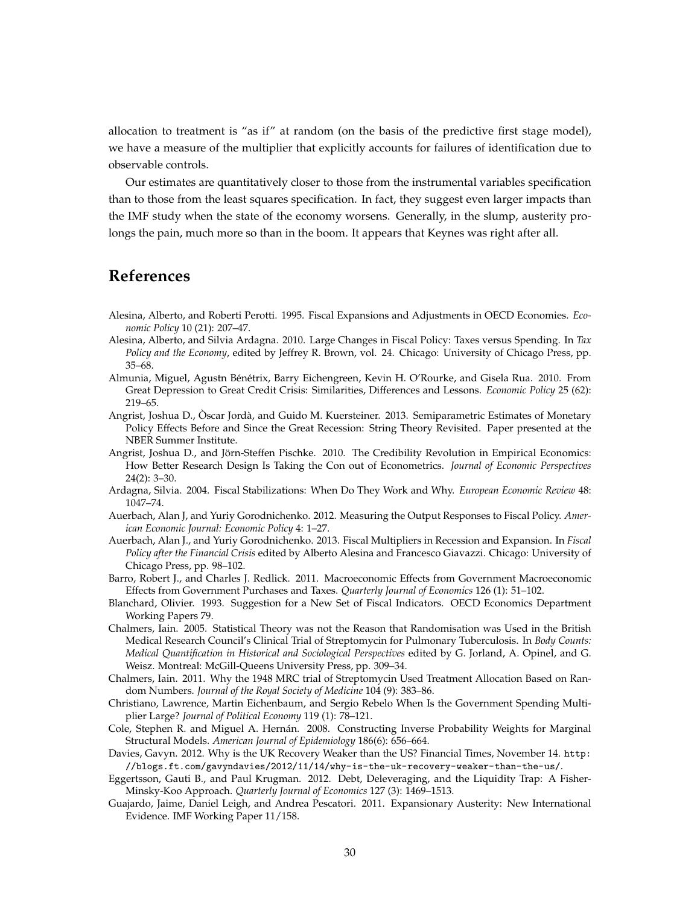allocation to treatment is "as if" at random (on the basis of the predictive first stage model), we have a measure of the multiplier that explicitly accounts for failures of identification due to observable controls.

Our estimates are quantitatively closer to those from the instrumental variables specification than to those from the least squares specification. In fact, they suggest even larger impacts than the IMF study when the state of the economy worsens. Generally, in the slump, austerity prolongs the pain, much more so than in the boom. It appears that Keynes was right after all.

#### **References**

- Alesina, Alberto, and Roberti Perotti. 1995. Fiscal Expansions and Adjustments in OECD Economies. *Economic Policy* 10 (21): 207–47.
- Alesina, Alberto, and Silvia Ardagna. 2010. Large Changes in Fiscal Policy: Taxes versus Spending. In *Tax Policy and the Economy*, edited by Jeffrey R. Brown, vol. 24. Chicago: University of Chicago Press, pp. 35–68.
- Almunia, Miguel, Agustn Bénétrix, Barry Eichengreen, Kevin H. O'Rourke, and Gisela Rua. 2010. From Great Depression to Great Credit Crisis: Similarities, Differences and Lessons. *Economic Policy* 25 (62): 219–65.
- Angrist, Joshua D., Oscar Jordà, and Guido M. Kuersteiner. 2013. Semiparametric Estimates of Monetary Policy Effects Before and Since the Great Recession: String Theory Revisited. Paper presented at the NBER Summer Institute.
- Angrist, Joshua D., and Jorn-Steffen Pischke. 2010. The Credibility Revolution in Empirical Economics: ¨ How Better Research Design Is Taking the Con out of Econometrics. *Journal of Economic Perspectives* 24(2): 3–30.
- Ardagna, Silvia. 2004. Fiscal Stabilizations: When Do They Work and Why. *European Economic Review* 48: 1047–74.
- Auerbach, Alan J, and Yuriy Gorodnichenko. 2012. Measuring the Output Responses to Fiscal Policy. *American Economic Journal: Economic Policy* 4: 1–27.
- Auerbach, Alan J., and Yuriy Gorodnichenko. 2013. Fiscal Multipliers in Recession and Expansion. In *Fiscal Policy after the Financial Crisis* edited by Alberto Alesina and Francesco Giavazzi. Chicago: University of Chicago Press, pp. 98–102.
- Barro, Robert J., and Charles J. Redlick. 2011. Macroeconomic Effects from Government Macroeconomic Effects from Government Purchases and Taxes. *Quarterly Journal of Economics* 126 (1): 51–102.
- Blanchard, Olivier. 1993. Suggestion for a New Set of Fiscal Indicators. OECD Economics Department Working Papers 79.
- Chalmers, Iain. 2005. Statistical Theory was not the Reason that Randomisation was Used in the British Medical Research Council's Clinical Trial of Streptomycin for Pulmonary Tuberculosis. In *Body Counts: Medical Quantification in Historical and Sociological Perspectives* edited by G. Jorland, A. Opinel, and G. Weisz. Montreal: McGill-Queens University Press, pp. 309–34.
- Chalmers, Iain. 2011. Why the 1948 MRC trial of Streptomycin Used Treatment Allocation Based on Random Numbers. *Journal of the Royal Society of Medicine* 104 (9): 383–86.
- Christiano, Lawrence, Martin Eichenbaum, and Sergio Rebelo When Is the Government Spending Multiplier Large? *Journal of Political Economy* 119 (1): 78–121.
- Cole, Stephen R. and Miguel A. Hernán. 2008. Constructing Inverse Probability Weights for Marginal Structural Models. *American Journal of Epidemiology* 186(6): 656–664.
- Davies, Gavyn. 2012. Why is the UK Recovery Weaker than the US? Financial Times, November 14. [http:](http://blogs.ft.com/gavyndavies/2012/11/14/why-is-the-uk-recovery-weaker-than-the-us/) [//blogs.ft.com/gavyndavies/2012/11/14/why-is-the-uk-recovery-weaker-than-the-us/](http://blogs.ft.com/gavyndavies/2012/11/14/why-is-the-uk-recovery-weaker-than-the-us/).
- Eggertsson, Gauti B., and Paul Krugman. 2012. Debt, Deleveraging, and the Liquidity Trap: A Fisher-Minsky-Koo Approach. *Quarterly Journal of Economics* 127 (3): 1469–1513.
- Guajardo, Jaime, Daniel Leigh, and Andrea Pescatori. 2011. Expansionary Austerity: New International Evidence. IMF Working Paper 11/158.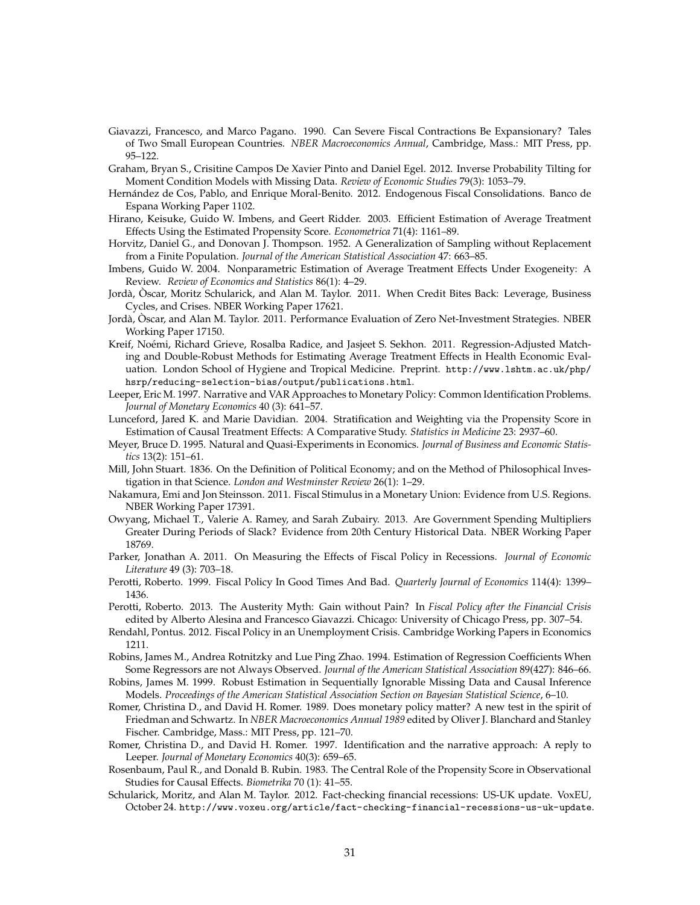- Giavazzi, Francesco, and Marco Pagano. 1990. Can Severe Fiscal Contractions Be Expansionary? Tales of Two Small European Countries. *NBER Macroeconomics Annual*, Cambridge, Mass.: MIT Press, pp. 95–122.
- Graham, Bryan S., Crisitine Campos De Xavier Pinto and Daniel Egel. 2012. Inverse Probability Tilting for Moment Condition Models with Missing Data. *Review of Economic Studies* 79(3): 1053–79.
- Hernández de Cos, Pablo, and Enrique Moral-Benito. 2012. Endogenous Fiscal Consolidations. Banco de Espana Working Paper 1102.
- Hirano, Keisuke, Guido W. Imbens, and Geert Ridder. 2003. Efficient Estimation of Average Treatment Effects Using the Estimated Propensity Score. *Econometrica* 71(4): 1161–89.
- Horvitz, Daniel G., and Donovan J. Thompson. 1952. A Generalization of Sampling without Replacement from a Finite Population. *Journal of the American Statistical Association* 47: 663–85.
- Imbens, Guido W. 2004. Nonparametric Estimation of Average Treatment Effects Under Exogeneity: A Review. *Review of Economics and Statistics* 86(1): 4–29.
- Jordà, Òscar, Moritz Schularick, and Alan M. Taylor. 2011. When Credit Bites Back: Leverage, Business Cycles, and Crises. NBER Working Paper 17621.
- Jordà, Òscar, and Alan M. Taylor. 2011. Performance Evaluation of Zero Net-Investment Strategies. NBER Working Paper 17150.
- Kreif, Noémi, Richard Grieve, Rosalba Radice, and Jasjeet S. Sekhon. 2011. Regression-Adjusted Matching and Double-Robust Methods for Estimating Average Treatment Effects in Health Economic Evaluation. London School of Hygiene and Tropical Medicine. Preprint. [http://www.lshtm.ac.uk/php/](http://www.lshtm.ac.uk/php/hsrp/reducing-selection-bias/output/publications.html) [hsrp/reducing-selection-bias/output/publications.html](http://www.lshtm.ac.uk/php/hsrp/reducing-selection-bias/output/publications.html).
- Leeper, Eric M. 1997. Narrative and VAR Approaches to Monetary Policy: Common Identification Problems. *Journal of Monetary Economics* 40 (3): 641–57.
- Lunceford, Jared K. and Marie Davidian. 2004. Stratification and Weighting via the Propensity Score in Estimation of Causal Treatment Effects: A Comparative Study. *Statistics in Medicine* 23: 2937–60.
- Meyer, Bruce D. 1995. Natural and Quasi-Experiments in Economics. *Journal of Business and Economic Statistics* 13(2): 151–61.
- Mill, John Stuart. 1836. On the Definition of Political Economy; and on the Method of Philosophical Investigation in that Science. *London and Westminster Review* 26(1): 1–29.
- Nakamura, Emi and Jon Steinsson. 2011. Fiscal Stimulus in a Monetary Union: Evidence from U.S. Regions. NBER Working Paper 17391.
- Owyang, Michael T., Valerie A. Ramey, and Sarah Zubairy. 2013. Are Government Spending Multipliers Greater During Periods of Slack? Evidence from 20th Century Historical Data. NBER Working Paper 18769.
- Parker, Jonathan A. 2011. On Measuring the Effects of Fiscal Policy in Recessions. *Journal of Economic Literature* 49 (3): 703–18.
- Perotti, Roberto. 1999. Fiscal Policy In Good Times And Bad. *Quarterly Journal of Economics* 114(4): 1399– 1436.
- Perotti, Roberto. 2013. The Austerity Myth: Gain without Pain? In *Fiscal Policy after the Financial Crisis* edited by Alberto Alesina and Francesco Giavazzi. Chicago: University of Chicago Press, pp. 307–54.
- Rendahl, Pontus. 2012. Fiscal Policy in an Unemployment Crisis. Cambridge Working Papers in Economics 1211.
- Robins, James M., Andrea Rotnitzky and Lue Ping Zhao. 1994. Estimation of Regression Coefficients When Some Regressors are not Always Observed. *Journal of the American Statistical Association* 89(427): 846–66.
- Robins, James M. 1999. Robust Estimation in Sequentially Ignorable Missing Data and Causal Inference Models. *Proceedings of the American Statistical Association Section on Bayesian Statistical Science*, 6–10.
- Romer, Christina D., and David H. Romer. 1989. Does monetary policy matter? A new test in the spirit of Friedman and Schwartz. In *NBER Macroeconomics Annual 1989* edited by Oliver J. Blanchard and Stanley Fischer. Cambridge, Mass.: MIT Press, pp. 121–70.
- Romer, Christina D., and David H. Romer. 1997. Identification and the narrative approach: A reply to Leeper. *Journal of Monetary Economics* 40(3): 659–65.
- Rosenbaum, Paul R., and Donald B. Rubin. 1983. The Central Role of the Propensity Score in Observational Studies for Causal Effects. *Biometrika* 70 (1): 41–55.
- Schularick, Moritz, and Alan M. Taylor. 2012. Fact-checking financial recessions: US-UK update. VoxEU, October 24. <http://www.voxeu.org/article/fact-checking-financial-recessions-us-uk-update>.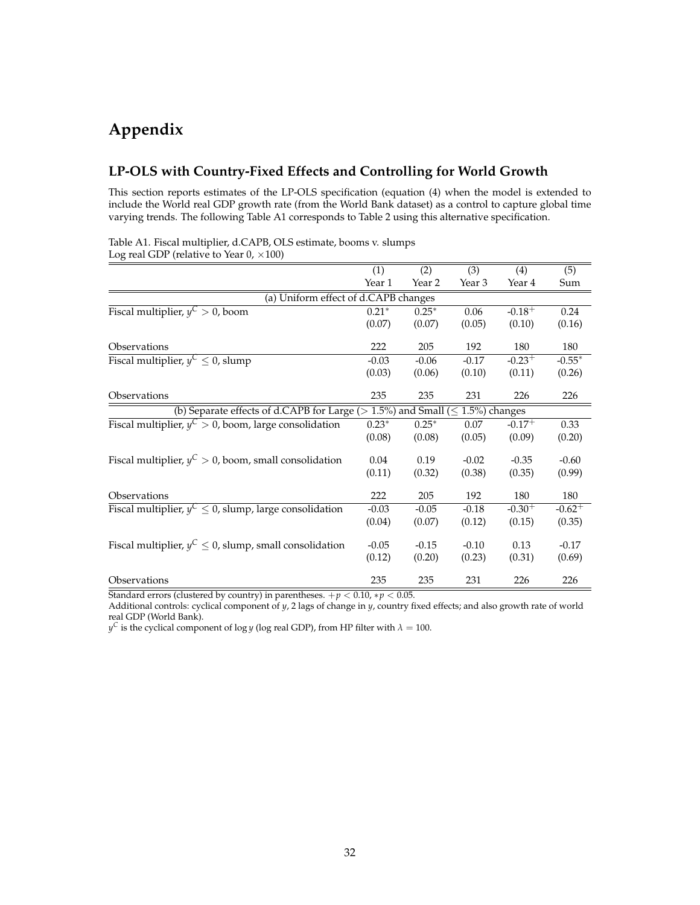# **Appendix**

#### **LP-OLS with Country-Fixed Effects and Controlling for World Growth**

This section reports estimates of the LP-OLS specification (equation [\(4\)](#page-10-1) when the model is extended to include the World real GDP growth rate (from the World Bank dataset) as a control to capture global time varying trends. The following Table A1 corresponds to Table [2](#page-12-0) using this alternative specification.

| $\log$ real ODT (retains to fear 0, $\wedge$ 100)                         |                  |                  |                   |                  |           |
|---------------------------------------------------------------------------|------------------|------------------|-------------------|------------------|-----------|
|                                                                           | $\overline{(1)}$ | $\overline{(2)}$ | (3)               | $\overline{(4)}$ | (5)       |
|                                                                           | Year 1           | Year 2           | Year 3            | Year 4           | Sum       |
| (a) Uniform effect of d.CAPB changes                                      |                  |                  |                   |                  |           |
| Fiscal multiplier, $y^C > 0$ , boom                                       | $0.21*$          | $0.25*$          | 0.06              | $-0.18+$         | 0.24      |
|                                                                           | (0.07)           | (0.07)           | (0.05)            | (0.10)           | (0.16)    |
| Observations                                                              | 222              | 205              | 192               | 180              | 180       |
| Fiscal multiplier, $y^C \leq 0$ , slump                                   | $-0.03$          | $-0.06$          | $-0.17$           | $-0.23+$         | $-0.55*$  |
|                                                                           | (0.03)           | (0.06)           | (0.10)            | (0.11)           | (0.26)    |
| Observations                                                              | 235              | 235              | 231               | 226              | 226       |
| (b) Separate effects of d.CAPB for Large ( $> 1.5\%$ ) and Small ( $\leq$ |                  |                  | $1.5\%$ ) changes |                  |           |
| Fiscal multiplier, $y^C > 0$ , boom, large consolidation                  | $0.23*$          | $0.25*$          | 0.07              | $-0.17+$         | 0.33      |
|                                                                           | (0.08)           | (0.08)           | (0.05)            | (0.09)           | (0.20)    |
| Fiscal multiplier, $y^C > 0$ , boom, small consolidation                  | 0.04             | 0.19             | $-0.02$           | $-0.35$          | $-0.60$   |
|                                                                           | (0.11)           | (0.32)           | (0.38)            | (0.35)           | (0.99)    |
| Observations                                                              | 222              | 205              | 192               | 180              | 180       |
| Fiscal multiplier, $y^C \le 0$ , slump, large consolidation               | $-0.03$          | $-0.05$          | $-0.18$           | $-0.30^{+}$      | $-0.62 +$ |
|                                                                           | (0.04)           | (0.07)           | (0.12)            | (0.15)           | (0.35)    |
| Fiscal multiplier, $y^C \le 0$ , slump, small consolidation               | $-0.05$          | $-0.15$          | $-0.10$           | 0.13             | $-0.17$   |
|                                                                           | (0.12)           | (0.20)           | (0.23)            | (0.31)           | (0.69)    |
| Observations                                                              | 235              | 235              | 231               | 226              | 226       |

Table A1. Fiscal multiplier, d.CAPB, OLS estimate, booms v. slumps Log real GDP (relative to Year  $0 \times 100$ )

Standard errors (clustered by country) in parentheses.  $+p < 0.10$ ,  $*p < 0.05$ .

Additional controls: cyclical component of *y*, 2 lags of change in *y*, country fixed effects; and also growth rate of world real GDP (World Bank).

 $y^{\mathsf{C}}$  is the cyclical component of log *y* (log real GDP), from HP filter with  $\lambda=100.$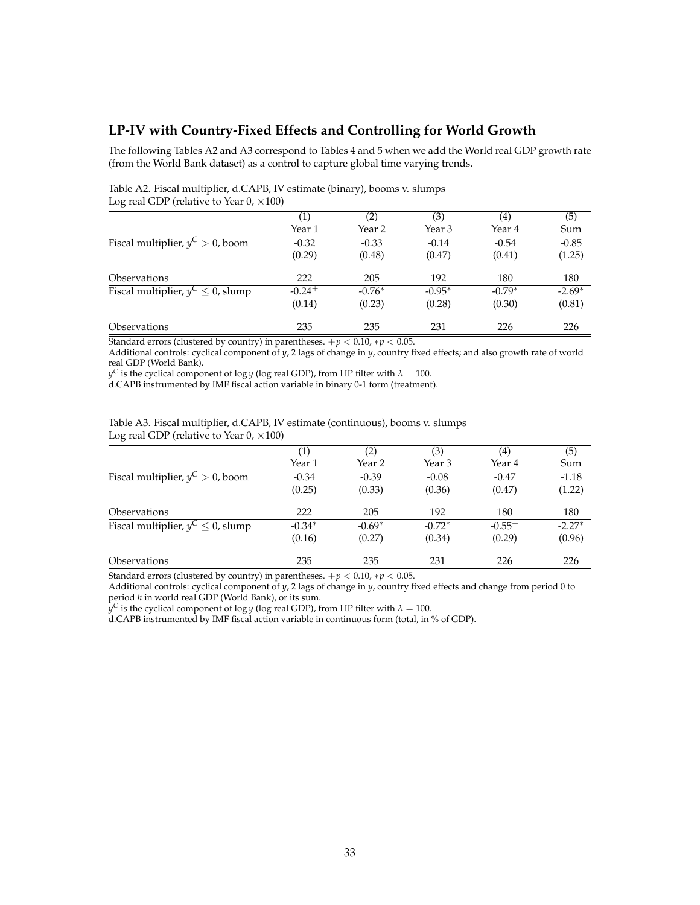#### **LP-IV with Country-Fixed Effects and Controlling for World Growth**

The following Tables A2 and A3 correspond to Tables [4](#page-14-1) and [5](#page-15-0) when we add the World real GDP growth rate (from the World Bank dataset) as a control to capture global time varying trends.

|                                         | $\left( 1\right)$ | (2)      | (3)      | $\left( 4\right)$ | (5)      |
|-----------------------------------------|-------------------|----------|----------|-------------------|----------|
|                                         | Year 1            | Year 2   | Year 3   | Year 4            | Sum      |
| Fiscal multiplier, $y^C > 0$ , boom     | $-0.32$           | $-0.33$  | $-0.14$  | $-0.54$           | $-0.85$  |
|                                         | (0.29)            | (0.48)   | (0.47)   | (0.41)            | (1.25)   |
| Observations                            | 222               | 205      | 192      | 180               | 180      |
| Fiscal multiplier, $y^C \leq 0$ , slump | $-0.24+$          | $-0.76*$ | $-0.95*$ | $-0.79*$          | $-2.69*$ |
|                                         | (0.14)            | (0.23)   | (0.28)   | (0.30)            | (0.81)   |
| <i><b>Observations</b></i>              | 235               | 235      | 231      | 226               | 226      |

Table A2. Fiscal multiplier, d.CAPB, IV estimate (binary), booms v. slumps Log real GDP (relative to Year  $0, \times 100$ )

Standard errors (clustered by country) in parentheses.  $+p < 0.10$ ,  $*p < 0.05$ .

Additional controls: cyclical component of *y*, 2 lags of change in *y*, country fixed effects; and also growth rate of world real GDP (World Bank).

 $y^{\mathsf{C}}$  is the cyclical component of log *y* (log real GDP), from HP filter with  $\lambda=100.$ 

d.CAPB instrumented by IMF fiscal action variable in binary 0-1 form (treatment).

| Table A3. Fiscal multiplier, d.CAPB, IV estimate (continuous), booms v. slumps |  |
|--------------------------------------------------------------------------------|--|
| Log real GDP (relative to Year 0, $\times$ 100)                                |  |

| $\circ$                                |                   |          |          |             |          |
|----------------------------------------|-------------------|----------|----------|-------------|----------|
|                                        | $\left( 1\right)$ | (2)      | (3)      | (4)         | (5)      |
|                                        | Year 1            | Year 2   | Year 3   | Year 4      | Sum      |
| Fiscal multiplier, $y^C > 0$ , boom    | $-0.34$           | $-0.39$  | $-0.08$  | $-0.47$     | $-1.18$  |
|                                        | (0.25)            | (0.33)   | (0.36)   | (0.47)      | (1.22)   |
| <i><b>Observations</b></i>             | 222               | 205      | 192      | 180         | 180      |
| Fiscal multiplier, $y^C \le 0$ , slump | $-0.34*$          | $-0.69*$ | $-0.72*$ | $-0.55^{+}$ | $-2.27*$ |
|                                        | (0.16)            | (0.27)   | (0.34)   | (0.29)      | (0.96)   |
| <i><b>Observations</b></i>             | 235               | 235      | 231      | 226         | 226      |

Standard errors (clustered by country) in parentheses.  $+p < 0.10$ ,  $*p < 0.05$ .

Additional controls: cyclical component of *y*, 2 lags of change in *y*, country fixed effects and change from period 0 to period *h* in world real GDP (World Bank), or its sum.

 $y^C$  is the cyclical component of log *y* (log real GDP), from HP filter with  $\lambda = 100$ .

d.CAPB instrumented by IMF fiscal action variable in continuous form (total, in % of GDP).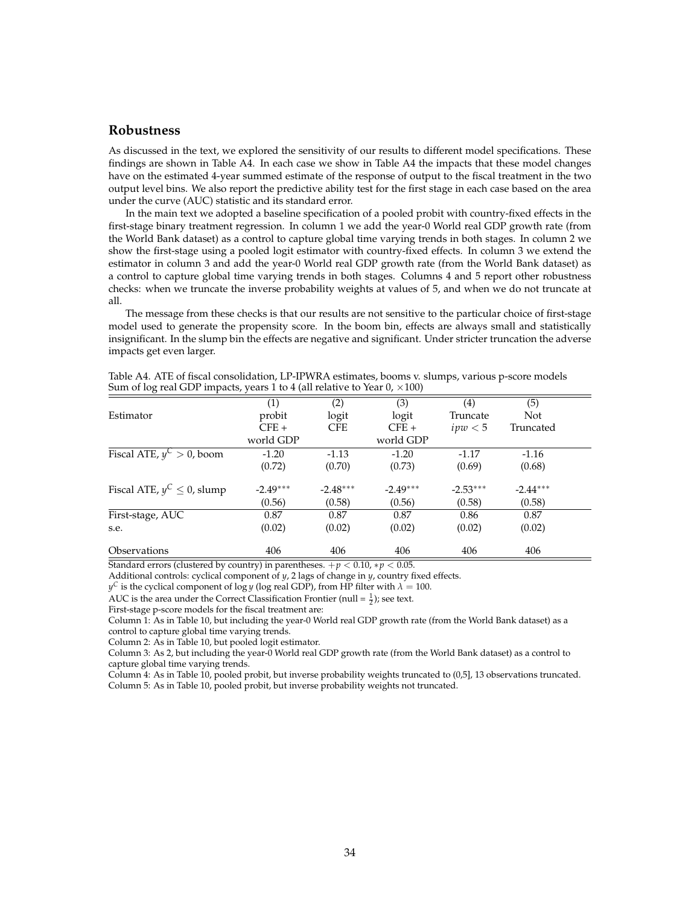#### **Robustness**

As discussed in the text, we explored the sensitivity of our results to different model specifications. These findings are shown in Table A4. In each case we show in Table A4 the impacts that these model changes have on the estimated 4-year summed estimate of the response of output to the fiscal treatment in the two output level bins. We also report the predictive ability test for the first stage in each case based on the area under the curve (AUC) statistic and its standard error.

In the main text we adopted a baseline specification of a pooled probit with country-fixed effects in the first-stage binary treatment regression. In column 1 we add the year-0 World real GDP growth rate (from the World Bank dataset) as a control to capture global time varying trends in both stages. In column 2 we show the first-stage using a pooled logit estimator with country-fixed effects. In column 3 we extend the estimator in column 3 and add the year-0 World real GDP growth rate (from the World Bank dataset) as a control to capture global time varying trends in both stages. Columns 4 and 5 report other robustness checks: when we truncate the inverse probability weights at values of 5, and when we do not truncate at all.

The message from these checks is that our results are not sensitive to the particular choice of first-stage model used to generate the propensity score. In the boom bin, effects are always small and statistically insignificant. In the slump bin the effects are negative and significant. Under stricter truncation the adverse impacts get even larger.

|                                  | (1)        | (2)        | (3)        | (4)        | (5)        |
|----------------------------------|------------|------------|------------|------------|------------|
| Estimator                        | probit     | logit      | logit      | Truncate   | <b>Not</b> |
|                                  | $CFE +$    | <b>CFE</b> | $CFE+$     | ipw < 5    | Truncated  |
|                                  | world GDP  |            | world GDP  |            |            |
| Fiscal ATE, $y^C > 0$ , boom     | $-1.20$    | $-1.13$    | $-1.20$    | $-1.17$    | $-1.16$    |
|                                  | (0.72)     | (0.70)     | (0.73)     | (0.69)     | (0.68)     |
| Fiscal ATE, $y^C \leq 0$ , slump | $-2.49***$ | $-2.48***$ | $-2.49***$ | $-2.53***$ | $-2.44***$ |
|                                  | (0.56)     | (0.58)     | (0.56)     | (0.58)     | (0.58)     |
| First-stage, AUC                 | 0.87       | 0.87       | 0.87       | 0.86       | 0.87       |
| s.e.                             | (0.02)     | (0.02)     | (0.02)     | (0.02)     | (0.02)     |
| <i><b>Observations</b></i>       | 406        | 406        | 406        | 406        | 406        |

Table A4. ATE of fiscal consolidation, LP-IPWRA estimates, booms v. slumps, various p-score models Sum of log real GDP impacts, years 1 to 4 (all relative to Year 0,  $\times$  100)

Standard errors (clustered by country) in parentheses.  $+p < 0.10$ ,  $*p < 0.05$ .

Additional controls: cyclical component of *y*, 2 lags of change in *y*, country fixed effects.

 $y^{\mathsf{C}}$  is the cyclical component of log *y* (log real GDP), from HP filter with  $\lambda=100.$ 

AUC is the area under the Correct Classification Frontier (null =  $\frac{1}{2}$ ); see text.

First-stage p-score models for the fiscal treatment are:

Column 1: As in Table 10, but including the year-0 World real GDP growth rate (from the World Bank dataset) as a control to capture global time varying trends.

Column 2: As in Table 10, but pooled logit estimator.

Column 3: As 2, but including the year-0 World real GDP growth rate (from the World Bank dataset) as a control to capture global time varying trends.

Column 4: As in Table 10, pooled probit, but inverse probability weights truncated to (0,5], 13 observations truncated. Column 5: As in Table 10, pooled probit, but inverse probability weights not truncated.